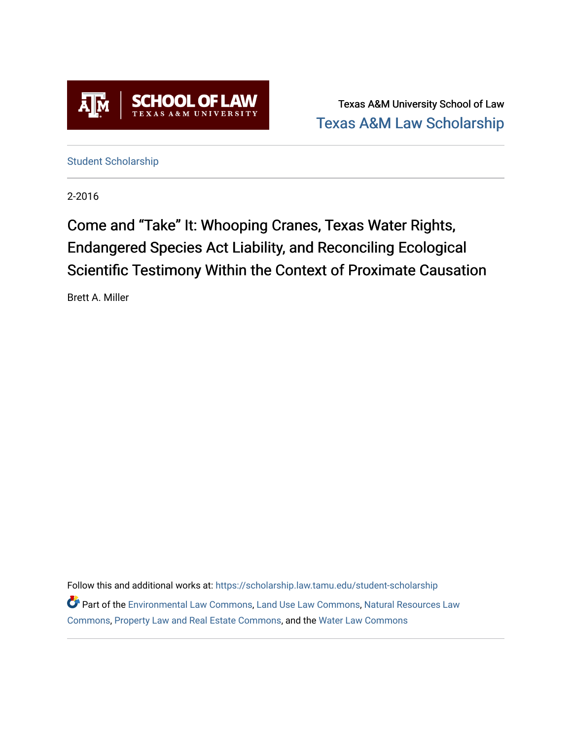

Texas A&M University School of Law [Texas A&M Law Scholarship](https://scholarship.law.tamu.edu/) 

[Student Scholarship](https://scholarship.law.tamu.edu/student-scholarship)

2-2016

# Come and "Take" It: Whooping Cranes, Texas Water Rights, Endangered Species Act Liability, and Reconciling Ecological Scientific Testimony Within the Context of Proximate Causation

Brett A. Miller

Follow this and additional works at: [https://scholarship.law.tamu.edu/student-scholarship](https://scholarship.law.tamu.edu/student-scholarship?utm_source=scholarship.law.tamu.edu%2Fstudent-scholarship%2F29&utm_medium=PDF&utm_campaign=PDFCoverPages)  Part of the [Environmental Law Commons](https://network.bepress.com/hgg/discipline/599?utm_source=scholarship.law.tamu.edu%2Fstudent-scholarship%2F29&utm_medium=PDF&utm_campaign=PDFCoverPages), [Land Use Law Commons,](https://network.bepress.com/hgg/discipline/852?utm_source=scholarship.law.tamu.edu%2Fstudent-scholarship%2F29&utm_medium=PDF&utm_campaign=PDFCoverPages) [Natural Resources Law](https://network.bepress.com/hgg/discipline/863?utm_source=scholarship.law.tamu.edu%2Fstudent-scholarship%2F29&utm_medium=PDF&utm_campaign=PDFCoverPages)  [Commons](https://network.bepress.com/hgg/discipline/863?utm_source=scholarship.law.tamu.edu%2Fstudent-scholarship%2F29&utm_medium=PDF&utm_campaign=PDFCoverPages), [Property Law and Real Estate Commons](https://network.bepress.com/hgg/discipline/897?utm_source=scholarship.law.tamu.edu%2Fstudent-scholarship%2F29&utm_medium=PDF&utm_campaign=PDFCoverPages), and the [Water Law Commons](https://network.bepress.com/hgg/discipline/887?utm_source=scholarship.law.tamu.edu%2Fstudent-scholarship%2F29&utm_medium=PDF&utm_campaign=PDFCoverPages)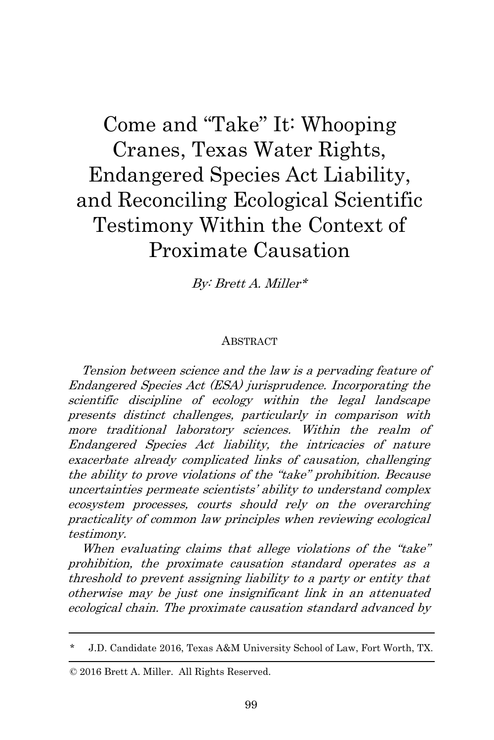# Come and "Take" It: Whooping Cranes, Texas Water Rights, Endangered Species Act Liability, and Reconciling Ecological Scientific Testimony Within the Context of Proximate Causation

By: Brett A. Miller\*

#### **ABSTRACT**

Tension between science and the law is a pervading feature of Endangered Species Act (ESA) jurisprudence. Incorporating the scientific discipline of ecology within the legal landscape presents distinct challenges, particularly in comparison with more traditional laboratory sciences. Within the realm of Endangered Species Act liability, the intricacies of nature exacerbate already complicated links of causation, challenging the ability to prove violations of the "take" prohibition. Because uncertainties permeate scientists' ability to understand complex ecosystem processes, courts should rely on the overarching practicality of common law principles when reviewing ecological testimony.

When evaluating claims that allege violations of the "take" prohibition, the proximate causation standard operates as <sup>a</sup> threshold to prevent assigning liability to a party or entity that otherwise may be just one insignificant link in an attenuated ecological chain. The proximate causation standard advanced by

© 2016 Brett A. Miller. All Rights Reserved.

<sup>\*</sup> J.D. Candidate 2016, Texas A&M University School of Law, Fort Worth, TX.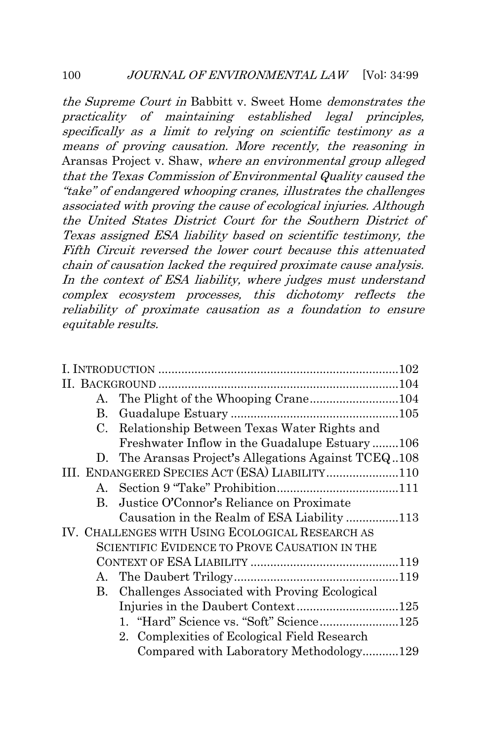the Supreme Court in Babbitt v. Sweet Home demonstrates the practicality of maintaining established legal principles, specifically as a limit to relying on scientific testimony as a means of proving causation. More recently, the reasoning in Aransas Project v. Shaw, where an environmental group alleged that the Texas Commission of Environmental Quality caused the "take" of endangered whooping cranes, illustrates the challenges associated with proving the cause of ecological injuries. Although the United States District Court for the Southern District of Texas assigned ESA liability based on scientific testimony, the Fifth Circuit reversed the lower court because this attenuated chain of causation lacked the required proximate cause analysis. In the context of ESA liability, where judges must understand complex ecosystem processes, this dichotomy reflects the reliability of proximate causation as a foundation to ensure equitable results.

|  | $A_{-}$ | The Plight of the Whooping Crane104                  |  |
|--|---------|------------------------------------------------------|--|
|  |         |                                                      |  |
|  | C.      | Relationship Between Texas Water Rights and          |  |
|  |         | Freshwater Inflow in the Guadalupe Estuary106        |  |
|  |         | D. The Aransas Project's Allegations Against TCEQ108 |  |
|  |         | III. ENDANGERED SPECIES ACT (ESA) LIABILITY110       |  |
|  |         |                                                      |  |
|  | B.      | Justice O'Connor's Reliance on Proximate             |  |
|  |         | Causation in the Realm of ESA Liability 113          |  |
|  |         | IV. CHALLENGES WITH USING ECOLOGICAL RESEARCH AS     |  |
|  |         | SCIENTIFIC EVIDENCE TO PROVE CAUSATION IN THE        |  |
|  |         |                                                      |  |
|  |         |                                                      |  |
|  |         | B. Challenges Associated with Proving Ecological     |  |
|  |         | Injuries in the Daubert Context125                   |  |
|  |         |                                                      |  |
|  |         | 2. Complexities of Ecological Field Research         |  |
|  |         | Compared with Laboratory Methodology129              |  |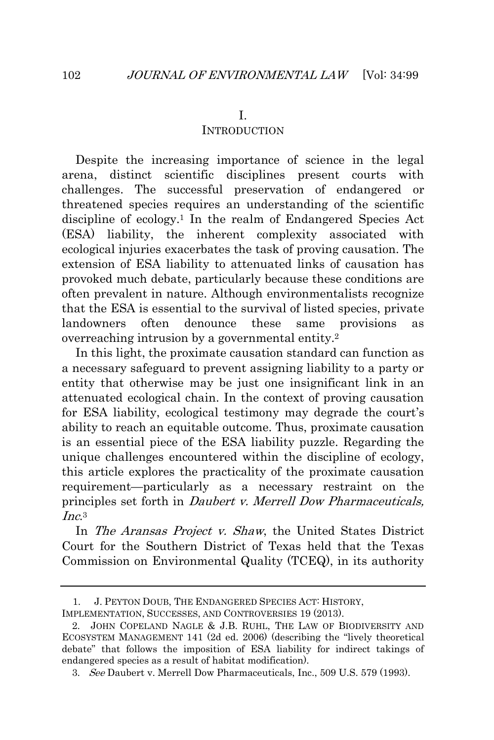#### **INTRODUCTION**

<span id="page-4-0"></span>Despite the increasing importance of science in the legal arena, distinct scientific disciplines present courts with challenges. The successful preservation of endangered or threatened species requires an understanding of the scientific discipline of ecology.<sup>1</sup> In the realm of Endangered Species Act (ESA) liability, the inherent complexity associated with ecological injuries exacerbates the task of proving causation. The extension of ESA liability to attenuated links of causation has provoked much debate, particularly because these conditions are often prevalent in nature. Although environmentalists recognize that the ESA is essential to the survival of listed species, private landowners often denounce these same provisions as overreaching intrusion by a governmental entity.<sup>2</sup>

In this light, the proximate causation standard can function as a necessary safeguard to prevent assigning liability to a party or entity that otherwise may be just one insignificant link in an attenuated ecological chain. In the context of proving causation for ESA liability, ecological testimony may degrade the court's ability to reach an equitable outcome. Thus, proximate causation is an essential piece of the ESA liability puzzle. Regarding the unique challenges encountered within the discipline of ecology, this article explores the practicality of the proximate causation requirement—particularly as a necessary restraint on the principles set forth in Daubert v. Merrell Dow Pharmaceuticals, Inc. 3

In The Aransas Project v. Shaw, the United States District Court for the Southern District of Texas held that the Texas Commission on Environmental Quality (TCEQ), in its authority

<sup>1.</sup> J. PEYTON DOUB, THE ENDANGERED SPECIES ACT: HISTORY,

IMPLEMENTATION, SUCCESSES, AND CONTROVERSIES 19 (2013).

<sup>2.</sup> JOHN COPELAND NAGLE & J.B. RUHL, THE LAW OF BIODIVERSITY AND ECOSYSTEM MANAGEMENT 141 (2d ed. 2006) (describing the "lively theoretical debate" that follows the imposition of ESA liability for indirect takings of endangered species as a result of habitat modification).

<sup>3.</sup> See Daubert v. Merrell Dow Pharmaceuticals, Inc., 509 U.S. 579 (1993).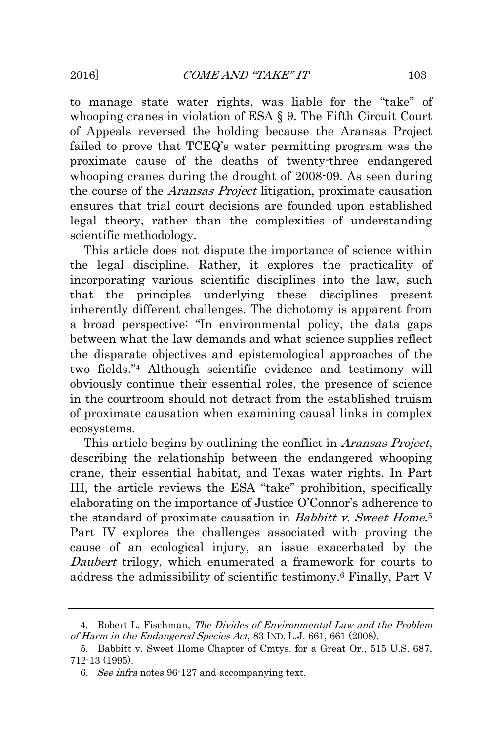to manage state water rights, was liable for the "take" of whooping cranes in violation of ESA § 9. The Fifth Circuit Court of Appeals reversed the holding because the Aransas Project failed to prove that TCEQ's water permitting program was the proximate cause of the deaths of twenty-three endangered whooping cranes during the drought of 2008-09. As seen during the course of the Aransas Project litigation, proximate causation ensures that trial court decisions are founded upon established legal theory, rather than the complexities of understanding scientific methodology.

This article does not dispute the importance of science within the legal discipline. Rather, it explores the practicality of incorporating various scientific disciplines into the law, such that the principles underlying these disciplines present inherently different challenges. The dichotomy is apparent from a broad perspective: "In environmental policy, the data gaps between what the law demands and what science supplies reflect the disparate objectives and epistemological approaches of the two fields." <sup>4</sup> Although scientific evidence and testimony will obviously continue their essential roles, the presence of science in the courtroom should not detract from the established truism of proximate causation when examining causal links in complex ecosystems.

This article begins by outlining the conflict in Aransas Project, describing the relationship between the endangered whooping crane, their essential habitat, and Texas water rights. In Part III, the article reviews the ESA "take" prohibition, specifically elaborating on the importance of Justice O'Connor's adherence to the standard of proximate causation in Babbitt v. Sweet Home.<sup>5</sup> Part IV explores the challenges associated with proving the cause of an ecological injury, an issue exacerbated by the Daubert trilogy, which enumerated a framework for courts to address the admissibility of scientific testimony.<sup>6</sup> Finally, Part V

<sup>4.</sup> Robert L. Fischman, The Divides of Environmental Law and the Problem of Harm in the Endangered Species Act, 83 IND. L.J. 661, 661 (2008).

<sup>5.</sup> Babbitt v. Sweet Home Chapter of Cmtys. for a Great Or., 515 U.S. 687, 712-13 (1995).

<sup>6.</sup> See infra notes 96-127 and accompanying text.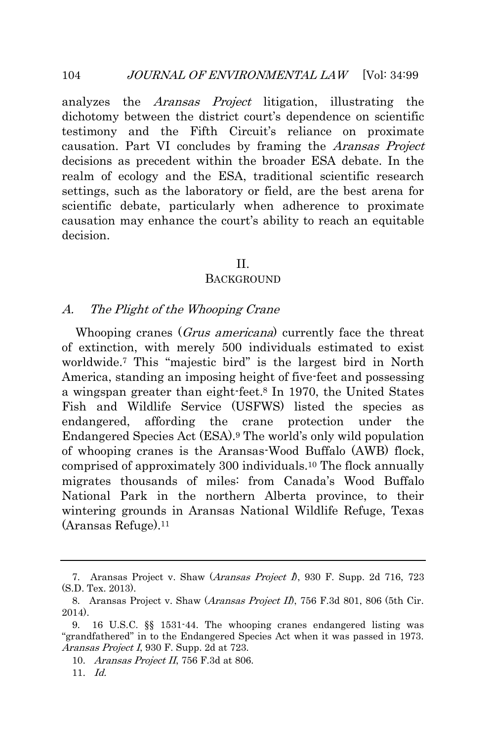analyzes the Aransas Project litigation, illustrating the dichotomy between the district court's dependence on scientific testimony and the Fifth Circuit's reliance on proximate causation. Part VI concludes by framing the Aransas Project decisions as precedent within the broader ESA debate. In the realm of ecology and the ESA, traditional scientific research settings, such as the laboratory or field, are the best arena for scientific debate, particularly when adherence to proximate causation may enhance the court's ability to reach an equitable decision.

#### II.

#### **BACKGROUND**

#### <span id="page-6-1"></span><span id="page-6-0"></span>A. The Plight of the Whooping Crane

Whooping cranes (*Grus americana*) currently face the threat of extinction, with merely 500 individuals estimated to exist worldwide.<sup>7</sup> This "majestic bird" is the largest bird in North America, standing an imposing height of five-feet and possessing a wingspan greater than eight-feet.<sup>8</sup> In 1970, the United States Fish and Wildlife Service (USFWS) listed the species as endangered, affording the crane protection under the Endangered Species Act (ESA).<sup>9</sup> The world's only wild population of whooping cranes is the Aransas-Wood Buffalo (AWB) flock, comprised of approximately 300 individuals.<sup>10</sup> The flock annually migrates thousands of miles: from Canada's Wood Buffalo National Park in the northern Alberta province, to their wintering grounds in Aransas National Wildlife Refuge, Texas (Aransas Refuge).<sup>11</sup>

<sup>7.</sup> Aransas Project v. Shaw (Aransas Project I), 930 F. Supp. 2d 716, 723 (S.D. Tex. 2013).

<sup>8.</sup> Aransas Project v. Shaw (Aransas Project II), 756 F.3d 801, 806 (5th Cir. 2014).

<sup>9.</sup> 16 U.S.C. §§ 1531-44. The whooping cranes endangered listing was "grandfathered" in to the Endangered Species Act when it was passed in 1973. Aransas Project I, 930 F. Supp. 2d at 723.

<sup>10.</sup> *Aransas Project II*, 756 F.3d at 806.

 $11.$  Id.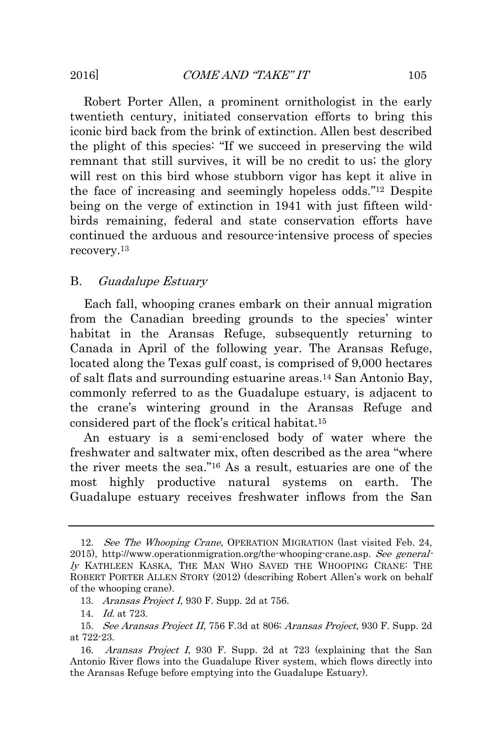Robert Porter Allen, a prominent ornithologist in the early twentieth century, initiated conservation efforts to bring this iconic bird back from the brink of extinction. Allen best described the plight of this species: "If we succeed in preserving the wild remnant that still survives, it will be no credit to us; the glory will rest on this bird whose stubborn vigor has kept it alive in the face of increasing and seemingly hopeless odds." <sup>12</sup> Despite being on the verge of extinction in 1941 with just fifteen wildbirds remaining, federal and state conservation efforts have continued the arduous and resource-intensive process of species recovery.<sup>13</sup>

#### <span id="page-7-0"></span>B. Guadalupe Estuary

Each fall, whooping cranes embark on their annual migration from the Canadian breeding grounds to the species' winter habitat in the Aransas Refuge, subsequently returning to Canada in April of the following year. The Aransas Refuge, located along the Texas gulf coast, is comprised of 9,000 hectares of salt flats and surrounding estuarine areas.<sup>14</sup> San Antonio Bay, commonly referred to as the Guadalupe estuary, is adjacent to the crane's wintering ground in the Aransas Refuge and considered part of the flock's critical habitat.<sup>15</sup>

An estuary is a semi-enclosed body of water where the freshwater and saltwater mix, often described as the area "where the river meets the sea." <sup>16</sup> As a result, estuaries are one of the most highly productive natural systems on earth. The Guadalupe estuary receives freshwater inflows from the San

<sup>12.</sup> See The Whooping Crane, OPERATION MIGRATION (last visited Feb. 24, 2015), http://www.operationmigration.org/the-whooping-crane.asp. See generally KATHLEEN KASKA, THE MAN WHO SAVED THE WHOOPING CRANE: THE ROBERT PORTER ALLEN STORY (2012) (describing Robert Allen's work on behalf of the whooping crane).

<sup>13.</sup> Aransas Project I, 930 F. Supp. 2d at 756.

<sup>14.</sup> Id. at 723.

<sup>15.</sup> See Aransas Project II, 756 F.3d at 806; Aransas Project, 930 F. Supp. 2d at 722-23.

<sup>16.</sup> Aransas Project I, 930 F. Supp. 2d at 723 (explaining that the San Antonio River flows into the Guadalupe River system, which flows directly into the Aransas Refuge before emptying into the Guadalupe Estuary).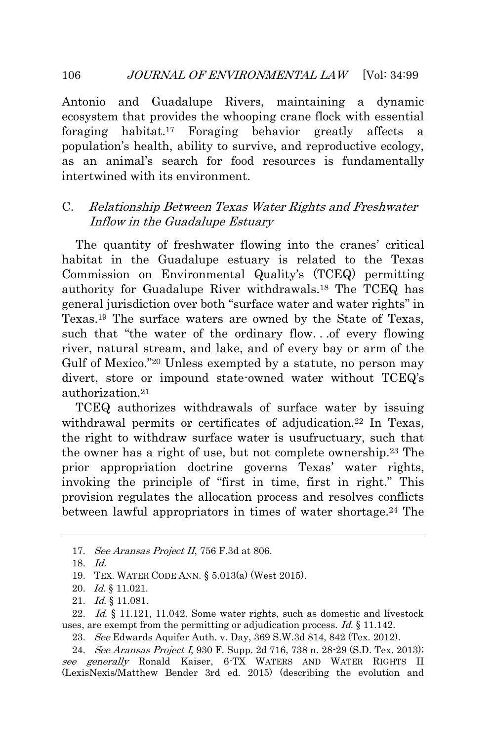Antonio and Guadalupe Rivers, maintaining a dynamic ecosystem that provides the whooping crane flock with essential foraging habitat.<sup>17</sup> Foraging behavior greatly affects a population's health, ability to survive, and reproductive ecology, as an animal's search for food resources is fundamentally intertwined with its environment.

## <span id="page-8-0"></span>C. Relationship Between Texas Water Rights and Freshwater Inflow in the Guadalupe Estuary

The quantity of freshwater flowing into the cranes' critical habitat in the Guadalupe estuary is related to the Texas Commission on Environmental Quality's (TCEQ) permitting authority for Guadalupe River withdrawals.<sup>18</sup> The TCEQ has general jurisdiction over both "surface water and water rights" in Texas.<sup>19</sup> The surface waters are owned by the State of Texas, such that "the water of the ordinary flow. . .of every flowing river, natural stream, and lake, and of every bay or arm of the Gulf of Mexico."<sup>20</sup> Unless exempted by a statute, no person may divert, store or impound state-owned water without TCEQ's authorization.<sup>21</sup>

TCEQ authorizes withdrawals of surface water by issuing withdrawal permits or certificates of adjudication.<sup>22</sup> In Texas, the right to withdraw surface water is usufructuary, such that the owner has a right of use, but not complete ownership.<sup>23</sup> The prior appropriation doctrine governs Texas' water rights, invoking the principle of "first in time, first in right." This provision regulates the allocation process and resolves conflicts between lawful appropriators in times of water shortage.<sup>24</sup> The

21. Id. § 11.081.

22. Id. § 11.121, 11.042. Some water rights, such as domestic and livestock uses, are exempt from the permitting or adjudication process. Id. § 11.142.

23. See Edwards Aquifer Auth. v. Day, 369 S.W.3d 814, 842 (Tex. 2012).

<sup>17.</sup> See Aransas Project II, 756 F.3d at 806.

<sup>18.</sup> Id.

<sup>19.</sup> TEX. WATER CODE ANN. § 5.013(a) (West 2015).

<sup>20.</sup> Id. § 11.021.

<sup>24.</sup> See Aransas Project I, 930 F. Supp. 2d 716, 738 n. 28-29 (S.D. Tex. 2013); see generally Ronald Kaiser, 6-TX WATERS AND WATER RIGHTS II (LexisNexis/Matthew Bender 3rd ed. 2015) (describing the evolution and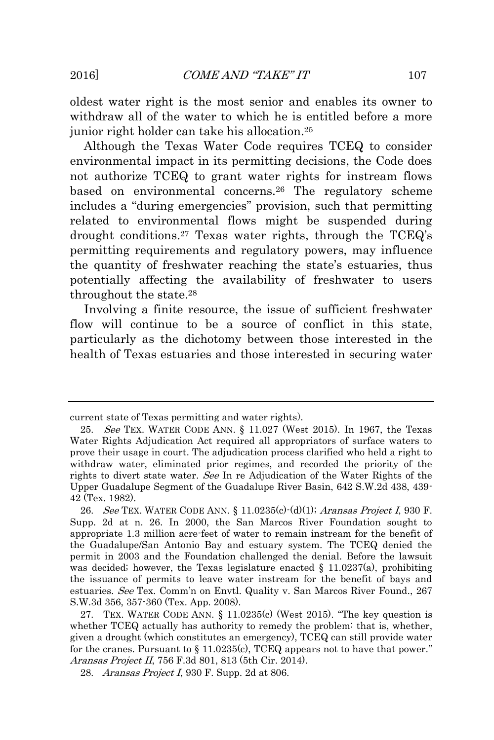oldest water right is the most senior and enables its owner to withdraw all of the water to which he is entitled before a more junior right holder can take his allocation.<sup>25</sup>

Although the Texas Water Code requires TCEQ to consider environmental impact in its permitting decisions, the Code does not authorize TCEQ to grant water rights for instream flows based on environmental concerns.<sup>26</sup> The regulatory scheme includes a "during emergencies" provision, such that permitting related to environmental flows might be suspended during drought conditions.<sup>27</sup> Texas water rights, through the TCEQ's permitting requirements and regulatory powers, may influence the quantity of freshwater reaching the state's estuaries, thus potentially affecting the availability of freshwater to users throughout the state.<sup>28</sup>

Involving a finite resource, the issue of sufficient freshwater flow will continue to be a source of conflict in this state, particularly as the dichotomy between those interested in the health of Texas estuaries and those interested in securing water

current state of Texas permitting and water rights).

<sup>25.</sup> See TEX. WATER CODE ANN. § 11.027 (West 2015). In 1967, the Texas Water Rights Adjudication Act required all appropriators of surface waters to prove their usage in court. The adjudication process clarified who held a right to withdraw water, eliminated prior regimes, and recorded the priority of the rights to divert state water. See In re Adjudication of the Water Rights of the Upper Guadalupe Segment of the Guadalupe River Basin, 642 S.W.2d 438, 439- 42 (Tex. 1982).

<sup>26.</sup> See TEX. WATER CODE ANN. § 11.0235(c) (d)(1); Aransas Project I, 930 F. Supp. 2d at n. 26. In 2000, the San Marcos River Foundation sought to appropriate 1.3 million acre-feet of water to remain instream for the benefit of the Guadalupe/San Antonio Bay and estuary system. The TCEQ denied the permit in 2003 and the Foundation challenged the denial. Before the lawsuit was decided; however, the Texas legislature enacted  $\S$  11.0237(a), prohibiting the issuance of permits to leave water instream for the benefit of bays and estuaries. See Tex. Comm'n on Envtl. Quality v. San Marcos River Found., 267 S.W.3d 356, 357-360 (Tex. App. 2008).

<sup>27.</sup> TEX. WATER CODE ANN. § 11.0235(c) (West 2015). "The key question is whether TCEQ actually has authority to remedy the problem: that is, whether, given a drought (which constitutes an emergency), TCEQ can still provide water for the cranes. Pursuant to § 11.0235(c), TCEQ appears not to have that power." Aransas Project II, 756 F.3d 801, 813 (5th Cir. 2014).

<sup>28.</sup> Aransas Project I, 930 F. Supp. 2d at 806.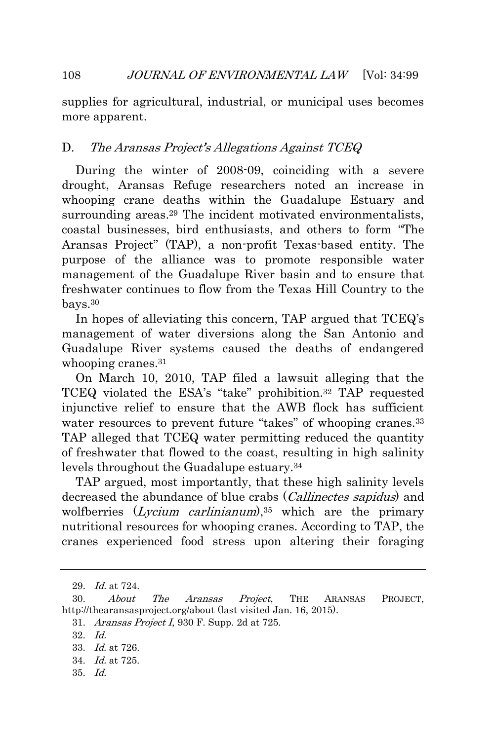supplies for agricultural, industrial, or municipal uses becomes more apparent.

## <span id="page-10-0"></span>D. The Aransas Project's Allegations Against TCEQ

During the winter of 2008-09, coinciding with a severe drought, Aransas Refuge researchers noted an increase in whooping crane deaths within the Guadalupe Estuary and surrounding areas.<sup>29</sup> The incident motivated environmentalists, coastal businesses, bird enthusiasts, and others to form "The Aransas Project" (TAP), a non-profit Texas-based entity. The purpose of the alliance was to promote responsible water management of the Guadalupe River basin and to ensure that freshwater continues to flow from the Texas Hill Country to the bays.<sup>30</sup>

In hopes of alleviating this concern, TAP argued that TCEQ's management of water diversions along the San Antonio and Guadalupe River systems caused the deaths of endangered whooping cranes.<sup>31</sup>

On March 10, 2010, TAP filed a lawsuit alleging that the TCEQ violated the ESA's "take" prohibition.<sup>32</sup> TAP requested injunctive relief to ensure that the AWB flock has sufficient water resources to prevent future "takes" of whooping cranes.<sup>33</sup> TAP alleged that TCEQ water permitting reduced the quantity of freshwater that flowed to the coast, resulting in high salinity levels throughout the Guadalupe estuary.<sup>34</sup>

TAP argued, most importantly, that these high salinity levels decreased the abundance of blue crabs (*Callinectes sapidus*) and wolfberries  $(Lycium carlinianum)$ ,<sup>35</sup> which are the primary nutritional resources for whooping cranes. According to TAP, the cranes experienced food stress upon altering their foraging

31. Aransas Project I, 930 F. Supp. 2d at 725.

- 34. Id. at 725.
- 35. Id.

<sup>29.</sup> Id. at 724.

<sup>30.</sup> About The Aransas Project, THE ARANSAS PROJECT, http://thearansasproject.org/about (last visited Jan. 16, 2015).

<sup>32.</sup> Id.

<sup>33.</sup> Id. at 726.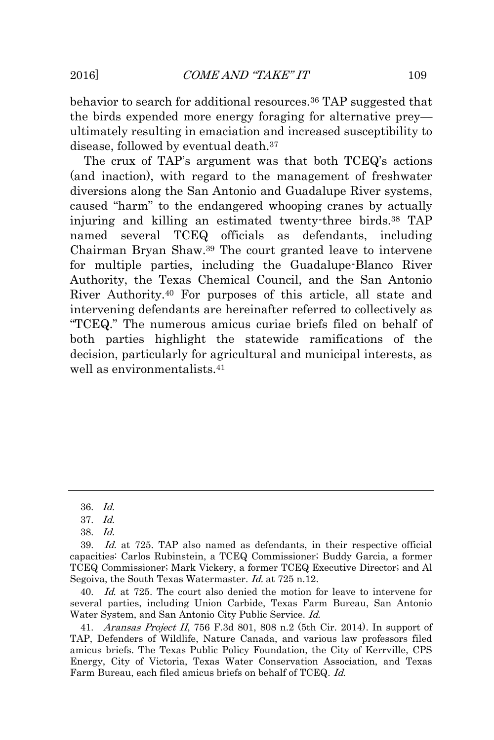behavior to search for additional resources.<sup>36</sup> TAP suggested that the birds expended more energy foraging for alternative prey ultimately resulting in emaciation and increased susceptibility to disease, followed by eventual death.<sup>37</sup>

The crux of TAP's argument was that both TCEQ's actions (and inaction), with regard to the management of freshwater diversions along the San Antonio and Guadalupe River systems, caused "harm" to the endangered whooping cranes by actually injuring and killing an estimated twenty-three birds.<sup>38</sup> TAP named several TCEQ officials as defendants, including Chairman Bryan Shaw.<sup>39</sup> The court granted leave to intervene for multiple parties, including the Guadalupe-Blanco River Authority, the Texas Chemical Council, and the San Antonio River Authority.<sup>40</sup> For purposes of this article, all state and intervening defendants are hereinafter referred to collectively as "TCEQ." The numerous amicus curiae briefs filed on behalf of both parties highlight the statewide ramifications of the decision, particularly for agricultural and municipal interests, as well as environmentalists.<sup>41</sup>

38. Id.

40. Id. at 725. The court also denied the motion for leave to intervene for several parties, including Union Carbide, Texas Farm Bureau, San Antonio Water System, and San Antonio City Public Service. Id.

41. Aransas Project II, 756 F.3d 801, 808 n.2 (5th Cir. 2014). In support of TAP, Defenders of Wildlife, Nature Canada, and various law professors filed amicus briefs. The Texas Public Policy Foundation, the City of Kerrville, CPS Energy, City of Victoria, Texas Water Conservation Association, and Texas Farm Bureau, each filed amicus briefs on behalf of TCEQ. Id.

<sup>36.</sup> Id.

<sup>37.</sup> Id.

<sup>39.</sup> Id. at 725. TAP also named as defendants, in their respective official capacities: Carlos Rubinstein, a TCEQ Commissioner; Buddy Garcia, a former TCEQ Commissioner; Mark Vickery, a former TCEQ Executive Director; and Al Segoiva, the South Texas Watermaster. Id. at 725 n.12.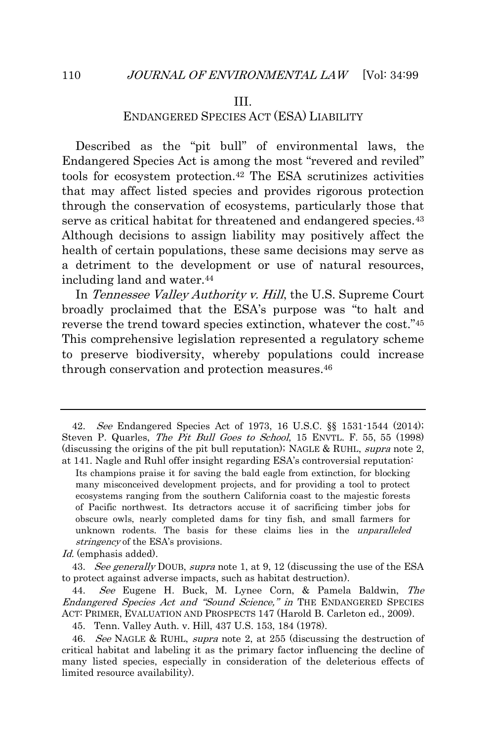#### III.

## ENDANGERED SPECIES ACT (ESA) LIABILITY

<span id="page-12-0"></span>Described as the "pit bull" of environmental laws, the Endangered Species Act is among the most "revered and reviled" tools for ecosystem protection.<sup>42</sup> The ESA scrutinizes activities that may affect listed species and provides rigorous protection through the conservation of ecosystems, particularly those that serve as critical habitat for threatened and endangered species.<sup>43</sup> Although decisions to assign liability may positively affect the health of certain populations, these same decisions may serve as a detriment to the development or use of natural resources, including land and water.<sup>44</sup>

In Tennessee Valley Authority v. Hill, the U.S. Supreme Court broadly proclaimed that the ESA's purpose was "to halt and reverse the trend toward species extinction, whatever the cost." 45 This comprehensive legislation represented a regulatory scheme to preserve biodiversity, whereby populations could increase through conservation and protection measures.<sup>46</sup>

<sup>42.</sup> See Endangered Species Act of 1973, 16 U.S.C. §§ 1531-1544 (2014); Steven P. Quarles, The Pit Bull Goes to School, 15 ENVTL. F. 55, 55 (1998) (discussing the origins of the pit bull reputation); NAGLE & RUHL, supra note 2, at 141. Nagle and Ruhl offer insight regarding ESA's controversial reputation:

Its champions praise it for saving the bald eagle from extinction, for blocking many misconceived development projects, and for providing a tool to protect ecosystems ranging from the southern California coast to the majestic forests of Pacific northwest. Its detractors accuse it of sacrificing timber jobs for obscure owls, nearly completed dams for tiny fish, and small farmers for unknown rodents. The basis for these claims lies in the *unparalleled* stringency of the ESA's provisions.

Id. (emphasis added).

<sup>43.</sup> See generally DOUB, supra note 1, at 9, 12 (discussing the use of the ESA to protect against adverse impacts, such as habitat destruction).

<sup>44.</sup> See Eugene H. Buck, M. Lynee Corn, & Pamela Baldwin, The Endangered Species Act and "Sound Science," in THE ENDANGERED SPECIES ACT: PRIMER, EVALUATION AND PROSPECTS 147 (Harold B. Carleton ed., 2009).

<sup>45.</sup> Tenn. Valley Auth. v. Hill, 437 U.S. 153, 184 (1978).

<sup>46.</sup> See NAGLE & RUHL, supra note 2, at 255 (discussing the destruction of critical habitat and labeling it as the primary factor influencing the decline of many listed species, especially in consideration of the deleterious effects of limited resource availability).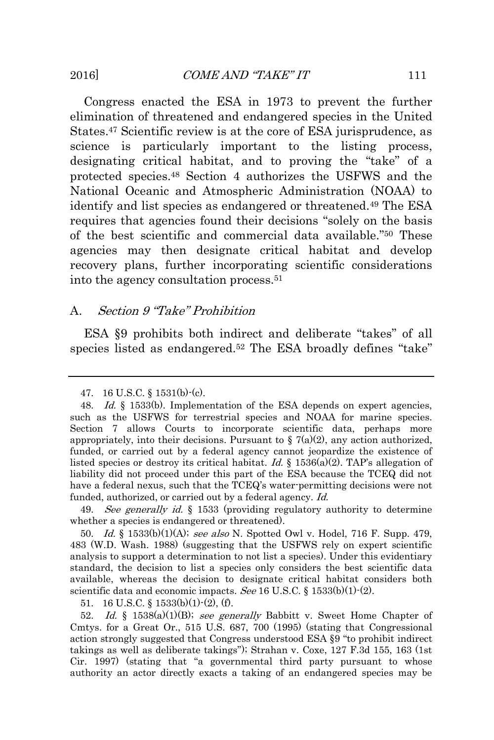Congress enacted the ESA in 1973 to prevent the further elimination of threatened and endangered species in the United States.<sup>47</sup> Scientific review is at the core of ESA jurisprudence, as science is particularly important to the listing process, designating critical habitat, and to proving the "take" of a protected species.<sup>48</sup> Section 4 authorizes the USFWS and the National Oceanic and Atmospheric Administration (NOAA) to identify and list species as endangered or threatened.<sup>49</sup> The ESA requires that agencies found their decisions "solely on the basis of the best scientific and commercial data available." <sup>50</sup> These agencies may then designate critical habitat and develop recovery plans, further incorporating scientific considerations into the agency consultation process.<sup>51</sup>

#### <span id="page-13-0"></span>A. Section 9 "Take" Prohibition

ESA §9 prohibits both indirect and deliberate "takes" of all species listed as endangered.<sup>52</sup> The ESA broadly defines "take"

49. See generally id. § 1533 (providing regulatory authority to determine whether a species is endangered or threatened).

50. Id. § 1533(b)(1)(A); see also N. Spotted Owl v. Hodel, 716 F. Supp. 479, 483 (W.D. Wash. 1988) (suggesting that the USFWS rely on expert scientific analysis to support a determination to not list a species). Under this evidentiary standard, the decision to list a species only considers the best scientific data available, whereas the decision to designate critical habitat considers both scientific data and economic impacts. See 16 U.S.C. § 1533(b)(1)-(2).

51. 16 U.S.C. §  $1533(b)(1)-(2)$ , (f).

52. Id. § 1538(a)(1)(B); see generally Babbitt v. Sweet Home Chapter of Cmtys. for a Great Or., 515 U.S. 687, 700 (1995) (stating that Congressional action strongly suggested that Congress understood ESA §9 "to prohibit indirect takings as well as deliberate takings"); Strahan v. Coxe, 127 F.3d 155, 163 (1st Cir. 1997) (stating that "a governmental third party pursuant to whose authority an actor directly exacts a taking of an endangered species may be

<sup>47.</sup> 16 U.S.C. § 1531(b)-(c).

<sup>48.</sup> Id. § 1533(b). Implementation of the ESA depends on expert agencies, such as the USFWS for terrestrial species and NOAA for marine species. Section 7 allows Courts to incorporate scientific data, perhaps more appropriately, into their decisions. Pursuant to  $\S$  7(a)(2), any action authorized, funded, or carried out by a federal agency cannot jeopardize the existence of listed species or destroy its critical habitat. Id.  $\S$  1536(a)(2). TAP's allegation of liability did not proceed under this part of the ESA because the TCEQ did not have a federal nexus, such that the TCEQ's water-permitting decisions were not funded, authorized, or carried out by a federal agency. Id.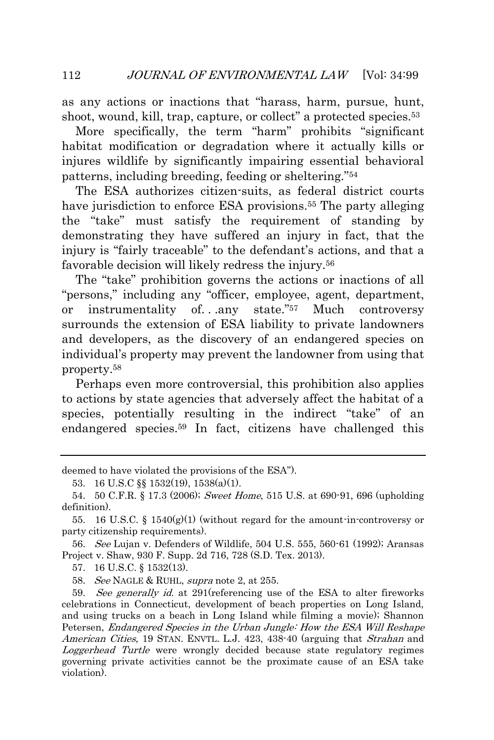as any actions or inactions that "harass, harm, pursue, hunt, shoot, wound, kill, trap, capture, or collect" a protected species.<sup>53</sup>

More specifically, the term "harm" prohibits "significant habitat modification or degradation where it actually kills or injures wildlife by significantly impairing essential behavioral patterns, including breeding, feeding or sheltering." 54

The ESA authorizes citizen-suits, as federal district courts have jurisdiction to enforce ESA provisions.<sup>55</sup> The party alleging the "take" must satisfy the requirement of standing by demonstrating they have suffered an injury in fact, that the injury is "fairly traceable" to the defendant's actions, and that a favorable decision will likely redress the injury.<sup>56</sup>

The "take" prohibition governs the actions or inactions of all "persons," including any "officer, employee, agent, department, or instrumentality of. . .any state." <sup>57</sup> Much controversy surrounds the extension of ESA liability to private landowners and developers, as the discovery of an endangered species on individual's property may prevent the landowner from using that property.<sup>58</sup>

Perhaps even more controversial, this prohibition also applies to actions by state agencies that adversely affect the habitat of a species, potentially resulting in the indirect "take" of an endangered species.<sup>59</sup> In fact, citizens have challenged this

56. See Lujan v. Defenders of Wildlife, 504 U.S. 555, 560-61 (1992); Aransas Project v. Shaw, 930 F. Supp. 2d 716, 728 (S.D. Tex. 2013).

57. 16 U.S.C. § 1532(13).

58. See NAGLE & RUHL, supra note 2, at 255.

59. See generally id. at 291 (referencing use of the ESA to alter fireworks celebrations in Connecticut, development of beach properties on Long Island, and using trucks on a beach in Long Island while filming a movie); Shannon Petersen, Endangered Species in the Urban Jungle: How the ESA Will Reshape American Cities, 19 STAN. ENVTL. L.J. 423, 438-40 (arguing that Strahan and Loggerhead Turtle were wrongly decided because state regulatory regimes governing private activities cannot be the proximate cause of an ESA take violation).

deemed to have violated the provisions of the ESA").

<sup>53.</sup> 16 U.S.C §§ 1532(19), 1538(a)(1).

<sup>54.</sup> 50 C.F.R. § 17.3 (2006); Sweet Home, 515 U.S. at 690-91, 696 (upholding definition).

<sup>55. 16</sup> U.S.C. § 1540 $(g)(1)$  (without regard for the amount-in-controversy or party citizenship requirements).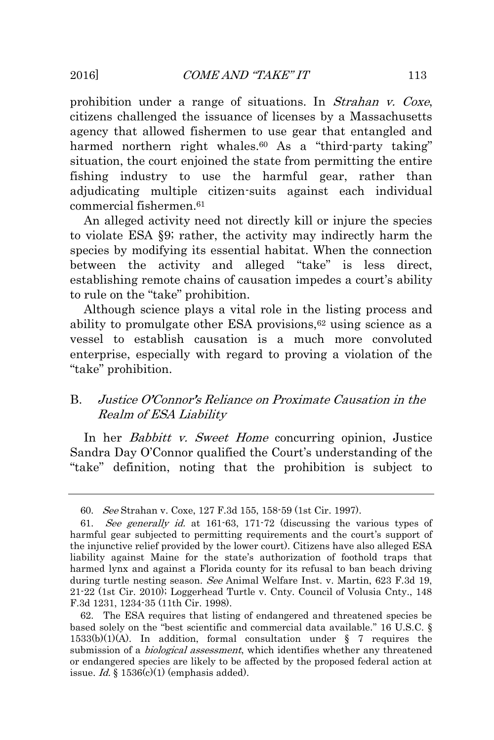prohibition under a range of situations. In Strahan v. Coxe, citizens challenged the issuance of licenses by a Massachusetts agency that allowed fishermen to use gear that entangled and harmed northern right whales.<sup>60</sup> As a "third-party taking" situation, the court enjoined the state from permitting the entire fishing industry to use the harmful gear, rather than adjudicating multiple citizen-suits against each individual commercial fishermen.<sup>61</sup>

An alleged activity need not directly kill or injure the species to violate ESA §9; rather, the activity may indirectly harm the species by modifying its essential habitat. When the connection between the activity and alleged "take" is less direct, establishing remote chains of causation impedes a court's ability to rule on the "take" prohibition.

Although science plays a vital role in the listing process and ability to promulgate other ESA provisions, $62$  using science as a vessel to establish causation is a much more convoluted enterprise, especially with regard to proving a violation of the "take" prohibition.

## <span id="page-15-0"></span>B. Justice O'Connor's Reliance on Proximate Causation in the Realm of ESA Liability

In her *Babbitt v. Sweet Home* concurring opinion, Justice Sandra Day O'Connor qualified the Court's understanding of the "take" definition, noting that the prohibition is subject to

<sup>60.</sup> See Strahan v. Coxe, 127 F.3d 155, 158-59 (1st Cir. 1997).

<sup>61.</sup> See generally id. at 161-63, 171-72 (discussing the various types of harmful gear subjected to permitting requirements and the court's support of the injunctive relief provided by the lower court). Citizens have also alleged ESA liability against Maine for the state's authorization of foothold traps that harmed lynx and against a Florida county for its refusal to ban beach driving during turtle nesting season. See Animal Welfare Inst. v. Martin, 623 F.3d 19, 21-22 (1st Cir. 2010); Loggerhead Turtle v. Cnty. Council of Volusia Cnty., 148 F.3d 1231, 1234-35 (11th Cir. 1998).

<sup>62.</sup> The ESA requires that listing of endangered and threatened species be based solely on the "best scientific and commercial data available." 16 U.S.C. § 1533(b)(1)(A). In addition, formal consultation under § 7 requires the submission of a *biological assessment*, which identifies whether any threatened or endangered species are likely to be affected by the proposed federal action at issue. Id.  $\frac{1}{2}$  1536(c)(1) (emphasis added).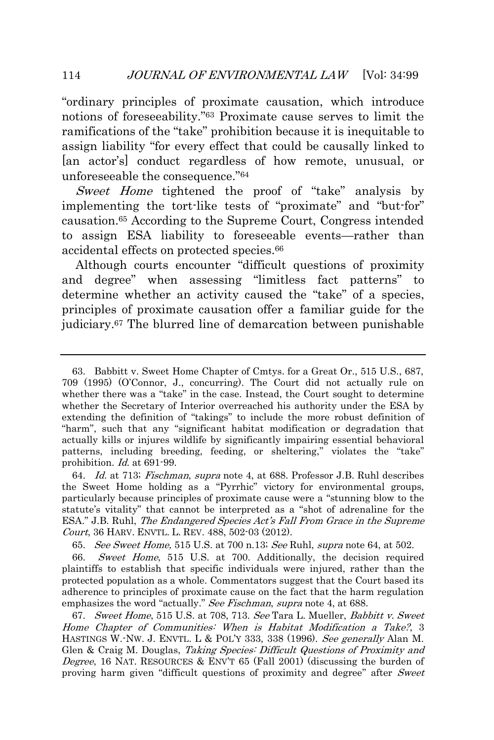"ordinary principles of proximate causation, which introduce notions of foreseeability." <sup>63</sup> Proximate cause serves to limit the ramifications of the "take" prohibition because it is inequitable to assign liability "for every effect that could be causally linked to [an actor's] conduct regardless of how remote, unusual, or unforeseeable the consequence." 64

Sweet Home tightened the proof of "take" analysis by implementing the tort-like tests of "proximate" and "but-for" causation.<sup>65</sup> According to the Supreme Court, Congress intended to assign ESA liability to foreseeable events—rather than accidental effects on protected species.<sup>66</sup>

Although courts encounter "difficult questions of proximity and degree" when assessing "limitless fact patterns" to determine whether an activity caused the "take" of a species, principles of proximate causation offer a familiar guide for the judiciary.<sup>67</sup> The blurred line of demarcation between punishable

64. Id. at 713; Fischman, supra note 4, at 688. Professor J.B. Ruhl describes the Sweet Home holding as a "Pyrrhic" victory for environmental groups, particularly because principles of proximate cause were a "stunning blow to the statute's vitality" that cannot be interpreted as a "shot of adrenaline for the ESA." J.B. Ruhl, The Endangered Species Act's Fall From Grace in the Supreme Court, 36 HARV. ENVTL. L. REV. 488, 502-03 (2012).

65. See Sweet Home, 515 U.S. at 700 n.13; See Ruhl, supra note 64, at 502.

66. Sweet Home, 515 U.S. at 700. Additionally, the decision required plaintiffs to establish that specific individuals were injured, rather than the protected population as a whole. Commentators suggest that the Court based its adherence to principles of proximate cause on the fact that the harm regulation emphasizes the word "actually." See Fischman, supra note 4, at 688.

67. Sweet Home, 515 U.S. at 708, 713. See Tara L. Mueller, Babbitt v. Sweet Home Chapter of Communities: When is Habitat Modification a Take?, 3 HASTINGS W.-NW. J. ENVTL. L & POL'Y 333, 338 (1996). See generally Alan M. Glen & Craig M. Douglas, Taking Species: Difficult Questions of Proximity and Degree, 16 NAT. RESOURCES & ENV'T 65 (Fall 2001) (discussing the burden of proving harm given "difficult questions of proximity and degree" after Sweet

<sup>63.</sup> Babbitt v. Sweet Home Chapter of Cmtys. for a Great Or., 515 U.S., 687, 709 (1995) (O'Connor, J., concurring). The Court did not actually rule on whether there was a "take" in the case. Instead, the Court sought to determine whether the Secretary of Interior overreached his authority under the ESA by extending the definition of "takings" to include the more robust definition of "harm", such that any "significant habitat modification or degradation that actually kills or injures wildlife by significantly impairing essential behavioral patterns, including breeding, feeding, or sheltering," violates the "take" prohibition. Id. at 691-99.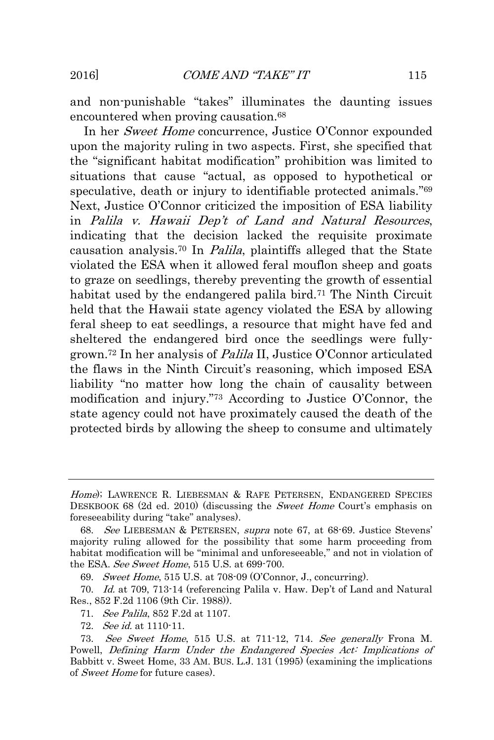and non-punishable "takes" illuminates the daunting issues encountered when proving causation.<sup>68</sup>

In her Sweet Home concurrence, Justice O'Connor expounded upon the majority ruling in two aspects. First, she specified that the "significant habitat modification" prohibition was limited to situations that cause "actual, as opposed to hypothetical or speculative, death or injury to identifiable protected animals."<sup>69</sup> Next, Justice O'Connor criticized the imposition of ESA liability in Palila v. Hawaii Dep't of Land and Natural Resources, indicating that the decision lacked the requisite proximate causation analysis.<sup>70</sup> In Palila, plaintiffs alleged that the State violated the ESA when it allowed feral mouflon sheep and goats to graze on seedlings, thereby preventing the growth of essential habitat used by the endangered palila bird.<sup>71</sup> The Ninth Circuit held that the Hawaii state agency violated the ESA by allowing feral sheep to eat seedlings, a resource that might have fed and sheltered the endangered bird once the seedlings were fullygrown.<sup>72</sup> In her analysis of Palila II, Justice O'Connor articulated the flaws in the Ninth Circuit's reasoning, which imposed ESA liability "no matter how long the chain of causality between modification and injury." <sup>73</sup> According to Justice O'Connor, the state agency could not have proximately caused the death of the protected birds by allowing the sheep to consume and ultimately

71. See Palila, 852 F.2d at 1107.

72. See id. at 1110-11.

Home); LAWRENCE R. LIEBESMAN & RAFE PETERSEN, ENDANGERED SPECIES DESKBOOK 68 (2d ed. 2010) (discussing the *Sweet Home* Court's emphasis on foreseeability during "take" analyses).

<sup>68.</sup> See LIEBESMAN & PETERSEN, supra note 67, at 68-69. Justice Stevens' majority ruling allowed for the possibility that some harm proceeding from habitat modification will be "minimal and unforeseeable," and not in violation of the ESA. See Sweet Home, 515 U.S. at 699-700.

<sup>69.</sup> Sweet Home, 515 U.S. at 708-09 (O'Connor, J., concurring).

<sup>70.</sup> Id. at 709, 713-14 (referencing Palila v. Haw. Dep't of Land and Natural Res., 852 F.2d 1106 (9th Cir. 1988)).

<sup>73.</sup> See Sweet Home, 515 U.S. at 711-12, 714. See generally Frona M. Powell, Defining Harm Under the Endangered Species Act: Implications of Babbitt v. Sweet Home, 33 AM. BUS. L.J. 131 (1995) (examining the implications of Sweet Home for future cases).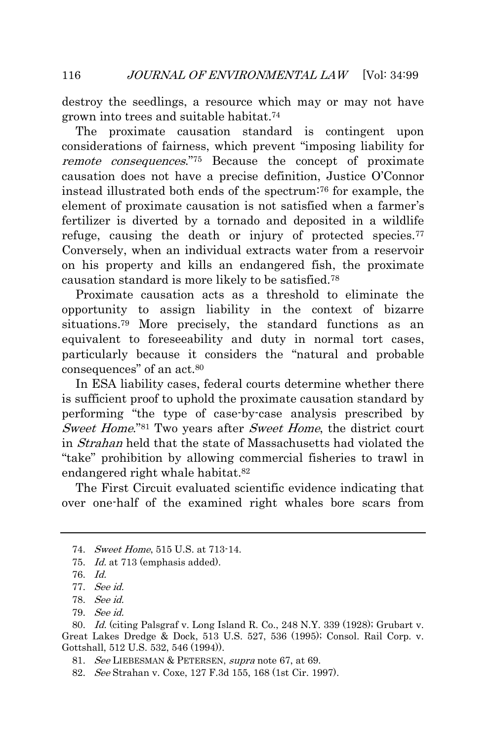destroy the seedlings, a resource which may or may not have grown into trees and suitable habitat.<sup>74</sup>

The proximate causation standard is contingent upon considerations of fairness, which prevent "imposing liability for remote consequences." <sup>75</sup> Because the concept of proximate causation does not have a precise definition, Justice O'Connor instead illustrated both ends of the spectrum:<sup>76</sup> for example, the element of proximate causation is not satisfied when a farmer's fertilizer is diverted by a tornado and deposited in a wildlife refuge, causing the death or injury of protected species.<sup>77</sup> Conversely, when an individual extracts water from a reservoir on his property and kills an endangered fish, the proximate causation standard is more likely to be satisfied.<sup>78</sup>

Proximate causation acts as a threshold to eliminate the opportunity to assign liability in the context of bizarre situations.<sup>79</sup> More precisely, the standard functions as an equivalent to foreseeability and duty in normal tort cases, particularly because it considers the "natural and probable consequences" of an act.<sup>80</sup>

In ESA liability cases, federal courts determine whether there is sufficient proof to uphold the proximate causation standard by performing "the type of case-by-case analysis prescribed by Sweet Home."<sup>81</sup> Two years after Sweet Home, the district court in Strahan held that the state of Massachusetts had violated the "take" prohibition by allowing commercial fisheries to trawl in endangered right whale habitat.<sup>82</sup>

The First Circuit evaluated scientific evidence indicating that over one-half of the examined right whales bore scars from

<sup>74.</sup> Sweet Home, 515 U.S. at 713-14.

<sup>75.</sup> Id. at 713 (emphasis added).

<sup>76.</sup> Id.

<sup>77.</sup> See id.

<sup>78.</sup> See id.

<sup>79.</sup> See id.

<sup>80.</sup> Id. (citing Palsgraf v. Long Island R. Co., 248 N.Y. 339 (1928); Grubart v. Great Lakes Dredge & Dock, 513 U.S. 527, 536 (1995); Consol. Rail Corp. v. Gottshall, 512 U.S. 532, 546 (1994)).

<sup>81.</sup> See LIEBESMAN & PETERSEN, supra note 67, at 69.

<sup>82.</sup> See Strahan v. Coxe, 127 F.3d 155, 168 (1st Cir. 1997).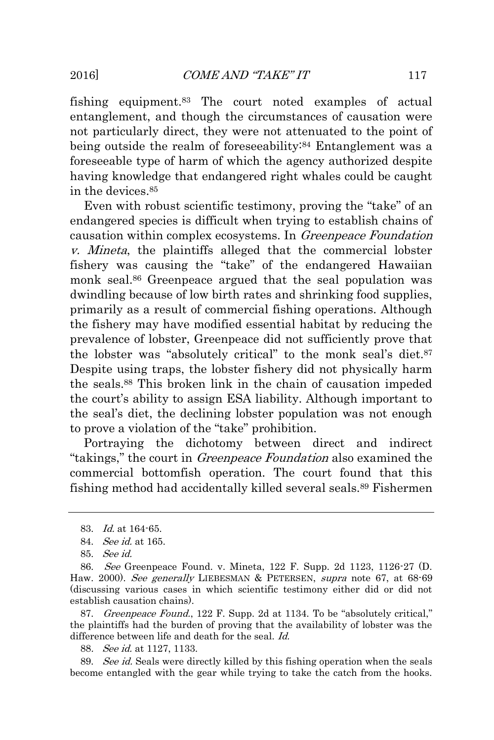fishing equipment.<sup>83</sup> The court noted examples of actual entanglement, and though the circumstances of causation were not particularly direct, they were not attenuated to the point of being outside the realm of foreseeability:<sup>84</sup> Entanglement was a foreseeable type of harm of which the agency authorized despite having knowledge that endangered right whales could be caught in the devices.<sup>85</sup>

Even with robust scientific testimony, proving the "take" of an endangered species is difficult when trying to establish chains of causation within complex ecosystems. In Greenpeace Foundation v. Mineta, the plaintiffs alleged that the commercial lobster fishery was causing the "take" of the endangered Hawaiian monk seal.<sup>86</sup> Greenpeace argued that the seal population was dwindling because of low birth rates and shrinking food supplies, primarily as a result of commercial fishing operations. Although the fishery may have modified essential habitat by reducing the prevalence of lobster, Greenpeace did not sufficiently prove that the lobster was "absolutely critical" to the monk seal's diet.<sup>87</sup> Despite using traps, the lobster fishery did not physically harm the seals.<sup>88</sup> This broken link in the chain of causation impeded the court's ability to assign ESA liability. Although important to the seal's diet, the declining lobster population was not enough to prove a violation of the "take" prohibition.

Portraying the dichotomy between direct and indirect "takings," the court in Greenpeace Foundation also examined the commercial bottomfish operation. The court found that this fishing method had accidentally killed several seals.<sup>89</sup> Fishermen

87. Greenpeace Found., 122 F. Supp. 2d at 1134. To be "absolutely critical," the plaintiffs had the burden of proving that the availability of lobster was the difference between life and death for the seal. Id.

88. See id. at 1127, 1133.

89. See id. Seals were directly killed by this fishing operation when the seals become entangled with the gear while trying to take the catch from the hooks.

<sup>83.</sup> Id. at 164-65.

<sup>84.</sup> See id. at 165.

<sup>85.</sup> See id.

<sup>86.</sup> See Greenpeace Found. v. Mineta, 122 F. Supp. 2d 1123, 1126-27 (D. Haw. 2000). See generally LIEBESMAN & PETERSEN, supra note 67, at 68-69 (discussing various cases in which scientific testimony either did or did not establish causation chains).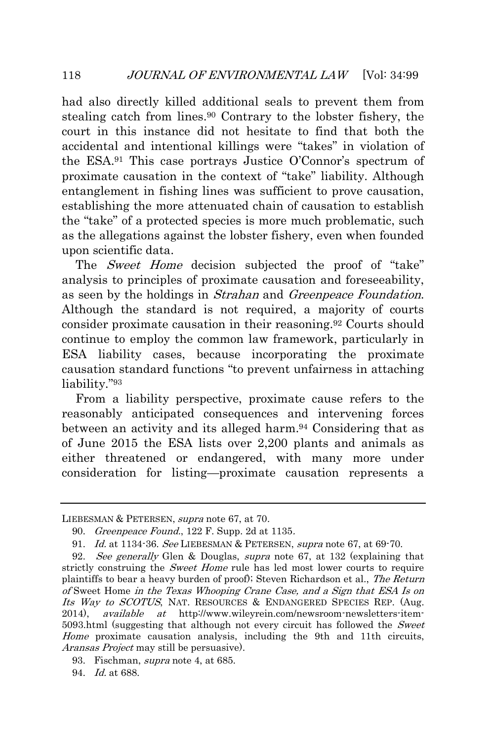had also directly killed additional seals to prevent them from stealing catch from lines.<sup>90</sup> Contrary to the lobster fishery, the court in this instance did not hesitate to find that both the accidental and intentional killings were "takes" in violation of the ESA.<sup>91</sup> This case portrays Justice O'Connor's spectrum of proximate causation in the context of "take" liability. Although entanglement in fishing lines was sufficient to prove causation, establishing the more attenuated chain of causation to establish the "take" of a protected species is more much problematic, such as the allegations against the lobster fishery, even when founded upon scientific data.

The *Sweet Home* decision subjected the proof of "take" analysis to principles of proximate causation and foreseeability, as seen by the holdings in *Strahan* and *Greenpeace Foundation*. Although the standard is not required, a majority of courts consider proximate causation in their reasoning.<sup>92</sup> Courts should continue to employ the common law framework, particularly in ESA liability cases, because incorporating the proximate causation standard functions "to prevent unfairness in attaching liability." 93

From a liability perspective, proximate cause refers to the reasonably anticipated consequences and intervening forces between an activity and its alleged harm.<sup>94</sup> Considering that as of June 2015 the ESA lists over 2,200 plants and animals as either threatened or endangered, with many more under consideration for listing—proximate causation represents a

LIEBESMAN & PETERSEN, supra note 67, at 70.

<sup>90.</sup> Greenpeace Found., 122 F. Supp. 2d at 1135.

<sup>91.</sup> Id. at 1134-36. See LIEBESMAN & PETERSEN, supra note 67, at 69-70.

<sup>92.</sup> See generally Glen & Douglas, supra note 67, at 132 (explaining that strictly construing the *Sweet Home* rule has led most lower courts to require plaintiffs to bear a heavy burden of proof); Steven Richardson et al., The Return of Sweet Home in the Texas Whooping Crane Case, and a Sign that ESA Is on Its Way to SCOTUS, NAT. RESOURCES & ENDANGERED SPECIES REP. (Aug. 2014), *available at* http://www.wileyrein.com/newsroom-newsletters-item-5093.html (suggesting that although not every circuit has followed the Sweet Home proximate causation analysis, including the 9th and 11th circuits, Aransas Project may still be persuasive).

<sup>93.</sup> Fischman, supra note 4, at 685.

<sup>94.</sup> Id. at 688.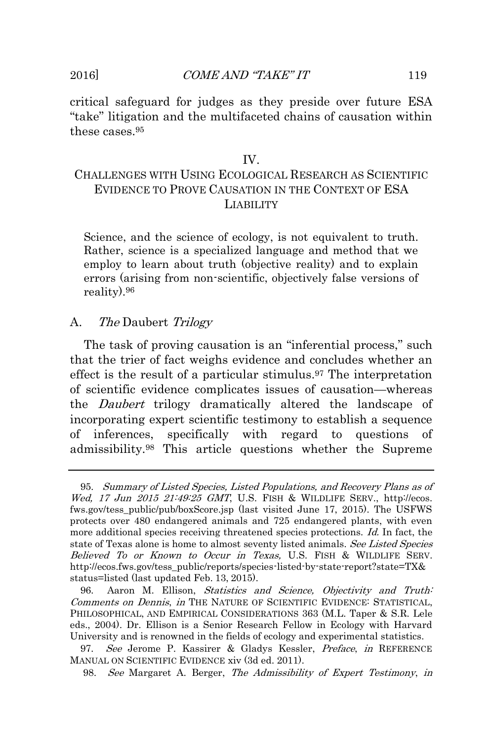critical safeguard for judges as they preside over future ESA "take" litigation and the multifaceted chains of causation within these cases.<sup>95</sup>

#### IV.

## <span id="page-21-0"></span>CHALLENGES WITH USING ECOLOGICAL RESEARCH AS SCIENTIFIC EVIDENCE TO PROVE CAUSATION IN THE CONTEXT OF ESA LIABILITY

Science, and the science of ecology, is not equivalent to truth. Rather, science is a specialized language and method that we employ to learn about truth (objective reality) and to explain errors (arising from non-scientific, objectively false versions of reality).<sup>96</sup>

#### <span id="page-21-1"></span>A. The Daubert Trilogy

The task of proving causation is an "inferential process," such that the trier of fact weighs evidence and concludes whether an effect is the result of a particular stimulus.<sup>97</sup> The interpretation of scientific evidence complicates issues of causation—whereas the Daubert trilogy dramatically altered the landscape of incorporating expert scientific testimony to establish a sequence of inferences, specifically with regard to questions of admissibility.<sup>98</sup> This article questions whether the Supreme

97. See Jerome P. Kassirer & Gladys Kessler, Preface, in REFERENCE MANUAL ON SCIENTIFIC EVIDENCE xiv (3d ed. 2011).

<sup>95.</sup> Summary of Listed Species, Listed Populations, and Recovery Plans as of Wed, 17 Jun 2015 21:49:25 GMT, U.S. FISH & WILDLIFE SERV., http://ecos. fws.gov/tess\_public/pub/boxScore.jsp (last visited June 17, 2015). The USFWS protects over 480 endangered animals and 725 endangered plants, with even more additional species receiving threatened species protections. Id. In fact, the state of Texas alone is home to almost seventy listed animals. See Listed Species Believed To or Known to Occur in Texas, U.S. FISH & WILDLIFE SERV. http://ecos.fws.gov/tess\_public/reports/species-listed-by-state-report?state=TX& status=listed (last updated Feb. 13, 2015).

<sup>96.</sup> Aaron M. Ellison, *Statistics and Science*, *Objectivity and Truth:* Comments on Dennis, in THE NATURE OF SCIENTIFIC EVIDENCE: STATISTICAL, PHILOSOPHICAL, AND EMPIRICAL CONSIDERATIONS 363 (M.L. Taper & S.R. Lele eds., 2004). Dr. Ellison is a Senior Research Fellow in Ecology with Harvard University and is renowned in the fields of ecology and experimental statistics.

<sup>98.</sup> See Margaret A. Berger, The Admissibility of Expert Testimony, in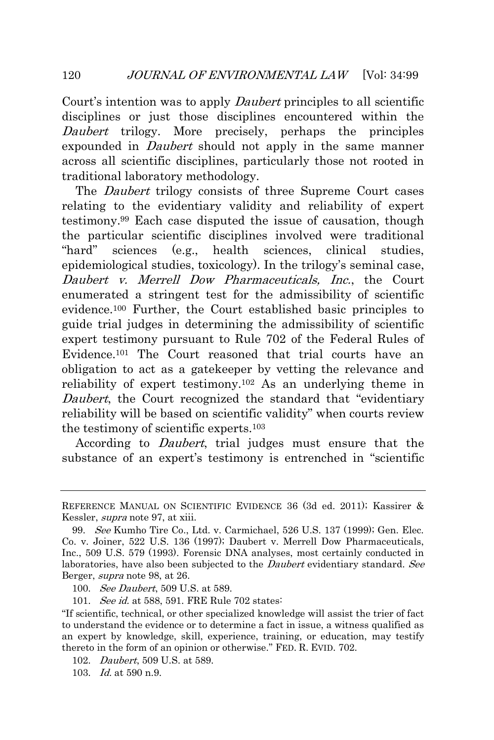Court's intention was to apply *Daubert* principles to all scientific disciplines or just those disciplines encountered within the Daubert trilogy. More precisely, perhaps the principles expounded in *Daubert* should not apply in the same manner across all scientific disciplines, particularly those not rooted in traditional laboratory methodology.

The *Daubert* trilogy consists of three Supreme Court cases relating to the evidentiary validity and reliability of expert testimony.<sup>99</sup> Each case disputed the issue of causation, though the particular scientific disciplines involved were traditional "hard" sciences (e.g., health sciences, clinical studies, epidemiological studies, toxicology). In the trilogy's seminal case, Daubert v. Merrell Dow Pharmaceuticals, Inc., the Court enumerated a stringent test for the admissibility of scientific evidence.<sup>100</sup> Further, the Court established basic principles to guide trial judges in determining the admissibility of scientific expert testimony pursuant to Rule 702 of the Federal Rules of Evidence.<sup>101</sup> The Court reasoned that trial courts have an obligation to act as a gatekeeper by vetting the relevance and reliability of expert testimony.<sup>102</sup> As an underlying theme in Daubert, the Court recognized the standard that "evidentiary" reliability will be based on scientific validity" when courts review the testimony of scientific experts.<sup>103</sup>

According to Daubert, trial judges must ensure that the substance of an expert's testimony is entrenched in "scientific

101. See id. at 588, 591. FRE Rule 702 states:

REFERENCE MANUAL ON SCIENTIFIC EVIDENCE 36 (3d ed. 2011); Kassirer & Kessler, supra note 97, at xiii.

<sup>99.</sup> See Kumho Tire Co., Ltd. v. Carmichael, 526 U.S. 137 (1999); Gen. Elec. Co. v. Joiner, 522 U.S. 136 (1997); Daubert v. Merrell Dow Pharmaceuticals, Inc., 509 U.S. 579 (1993). Forensic DNA analyses, most certainly conducted in laboratories, have also been subjected to the *Daubert* evidentiary standard. See Berger, supra note 98, at 26.

<sup>100.</sup> *See Daubert*, 509 U.S. at 589.

<sup>&</sup>quot;If scientific, technical, or other specialized knowledge will assist the trier of fact to understand the evidence or to determine a fact in issue, a witness qualified as an expert by knowledge, skill, experience, training, or education, may testify thereto in the form of an opinion or otherwise." FED. R. EVID. 702.

<sup>102.</sup> Daubert, 509 U.S. at 589.

<sup>103.</sup> Id. at 590 n.9.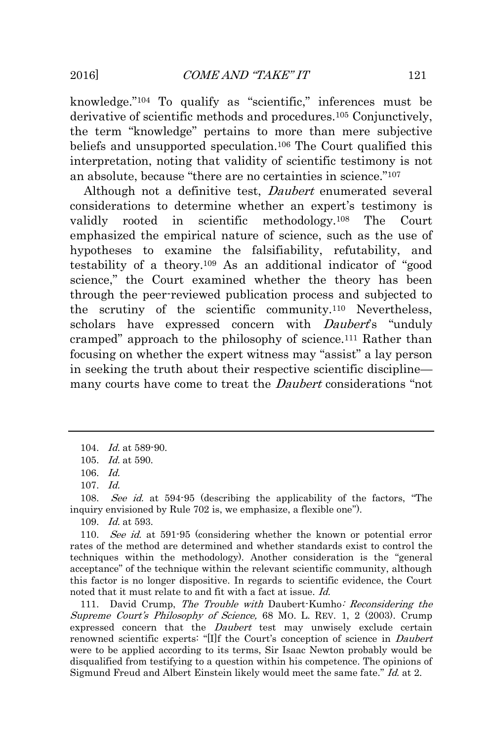knowledge." <sup>104</sup> To qualify as "scientific," inferences must be derivative of scientific methods and procedures.<sup>105</sup> Conjunctively, the term "knowledge" pertains to more than mere subjective beliefs and unsupported speculation.<sup>106</sup> The Court qualified this interpretation, noting that validity of scientific testimony is not an absolute, because "there are no certainties in science." 107

Although not a definitive test, *Daubert* enumerated several considerations to determine whether an expert's testimony is validly rooted in scientific methodology.<sup>108</sup> The Court emphasized the empirical nature of science, such as the use of hypotheses to examine the falsifiability, refutability, and testability of a theory.<sup>109</sup> As an additional indicator of "good science," the Court examined whether the theory has been through the peer-reviewed publication process and subjected to the scrutiny of the scientific community.<sup>110</sup> Nevertheless, scholars have expressed concern with *Daubert's* "unduly cramped" approach to the philosophy of science.<sup>111</sup> Rather than focusing on whether the expert witness may "assist" a lay person in seeking the truth about their respective scientific discipline many courts have come to treat the *Daubert* considerations "not

108. See id. at 594-95 (describing the applicability of the factors, "The inquiry envisioned by Rule 702 is, we emphasize, a flexible one").

109. Id. at 593.

110. See id. at 591-95 (considering whether the known or potential error rates of the method are determined and whether standards exist to control the techniques within the methodology). Another consideration is the "general acceptance" of the technique within the relevant scientific community, although this factor is no longer dispositive. In regards to scientific evidence, the Court noted that it must relate to and fit with a fact at issue. Id.

111. David Crump, The Trouble with Daubert-Kumho: Reconsidering the Supreme Court's Philosophy of Science, 68 MO. L. REV. 1, 2 (2003). Crump expressed concern that the *Daubert* test may unwisely exclude certain renowned scientific experts: "[I]f the Court's conception of science in Daubert were to be applied according to its terms, Sir Isaac Newton probably would be disqualified from testifying to a question within his competence. The opinions of Sigmund Freud and Albert Einstein likely would meet the same fate." Id. at 2.

<sup>104.</sup> Id. at 589-90.

<sup>105.</sup> Id. at 590.

<sup>106.</sup> Id.

 $107 \quad Id.$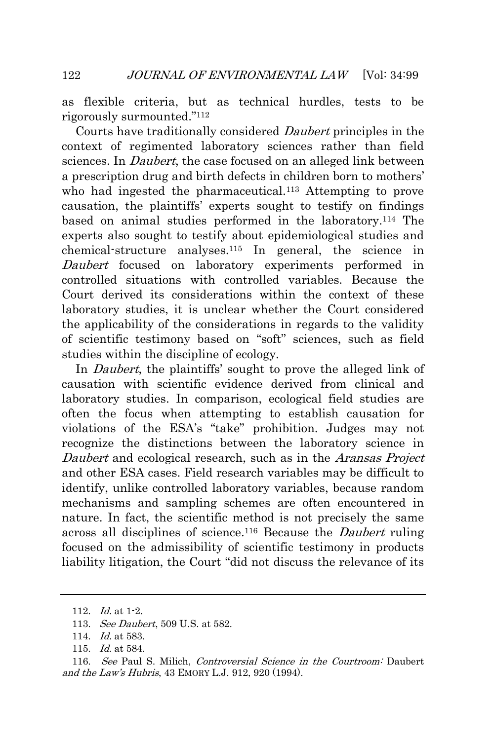as flexible criteria, but as technical hurdles, tests to be rigorously surmounted." 112

Courts have traditionally considered Daubert principles in the context of regimented laboratory sciences rather than field sciences. In *Daubert*, the case focused on an alleged link between a prescription drug and birth defects in children born to mothers' who had ingested the pharmaceutical.<sup>113</sup> Attempting to prove causation, the plaintiffs' experts sought to testify on findings based on animal studies performed in the laboratory.<sup>114</sup> The experts also sought to testify about epidemiological studies and chemical-structure analyses.<sup>115</sup> In general, the science in Daubert focused on laboratory experiments performed in controlled situations with controlled variables. Because the Court derived its considerations within the context of these laboratory studies, it is unclear whether the Court considered the applicability of the considerations in regards to the validity of scientific testimony based on "soft" sciences, such as field studies within the discipline of ecology.

In *Daubert*, the plaintiffs' sought to prove the alleged link of causation with scientific evidence derived from clinical and laboratory studies. In comparison, ecological field studies are often the focus when attempting to establish causation for violations of the ESA's "take" prohibition. Judges may not recognize the distinctions between the laboratory science in Daubert and ecological research, such as in the *Aransas Project* and other ESA cases. Field research variables may be difficult to identify, unlike controlled laboratory variables, because random mechanisms and sampling schemes are often encountered in nature. In fact, the scientific method is not precisely the same across all disciplines of science.<sup>116</sup> Because the Daubert ruling focused on the admissibility of scientific testimony in products liability litigation, the Court "did not discuss the relevance of its

<sup>112.</sup>  $Id.$  at 1-2.

<sup>113.</sup> *See Daubert*, 509 U.S. at 582.

<sup>114.</sup> *Id.* at 583.

<sup>115.</sup> Id. at 584.

<sup>116.</sup> See Paul S. Milich, Controversial Science in the Courtroom: Daubert and the Law's Hubris, 43 EMORY L.J. 912, 920 (1994).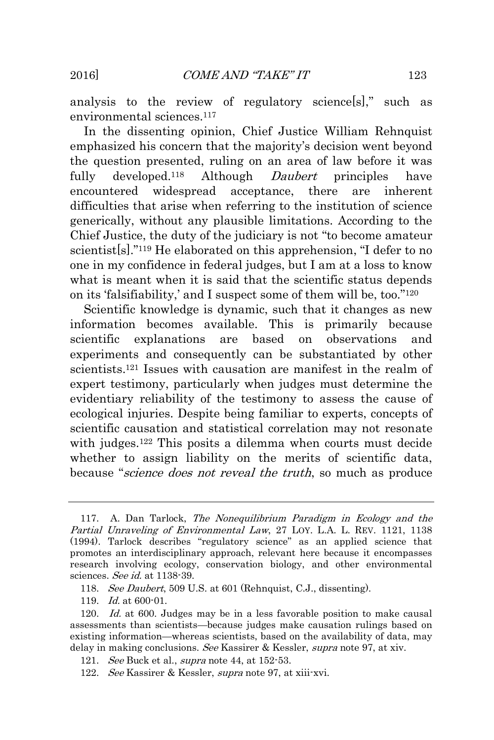analysis to the review of regulatory science[s]," such as environmental sciences.<sup>117</sup>

In the dissenting opinion, Chief Justice William Rehnquist emphasized his concern that the majority's decision went beyond the question presented, ruling on an area of law before it was fully developed.<sup>118</sup> Although *Daubert* principles have encountered widespread acceptance, there are inherent difficulties that arise when referring to the institution of science generically, without any plausible limitations. According to the Chief Justice, the duty of the judiciary is not "to become amateur scientist[s]." <sup>119</sup> He elaborated on this apprehension, "I defer to no one in my confidence in federal judges, but I am at a loss to know what is meant when it is said that the scientific status depends on its 'falsifiability,' and I suspect some of them will be, too." 120

Scientific knowledge is dynamic, such that it changes as new information becomes available. This is primarily because scientific explanations are based on observations and experiments and consequently can be substantiated by other scientists.<sup>121</sup> Issues with causation are manifest in the realm of expert testimony, particularly when judges must determine the evidentiary reliability of the testimony to assess the cause of ecological injuries. Despite being familiar to experts, concepts of scientific causation and statistical correlation may not resonate with judges.<sup>122</sup> This posits a dilemma when courts must decide whether to assign liability on the merits of scientific data, because "*science does not reveal the truth*, so much as produce

118. See Daubert, 509 U.S. at 601 (Rehnquist, C.J., dissenting).

119. Id. at 600-01.

<sup>117.</sup> A. Dan Tarlock, The Nonequilibrium Paradigm in Ecology and the Partial Unraveling of Environmental Law, 27 LOY. L.A. L. REV. 1121, 1138 (1994). Tarlock describes "regulatory science" as an applied science that promotes an interdisciplinary approach, relevant here because it encompasses research involving ecology, conservation biology, and other environmental sciences. See id. at 1138-39.

<sup>120.</sup> Id. at 600. Judges may be in a less favorable position to make causal assessments than scientists—because judges make causation rulings based on existing information—whereas scientists, based on the availability of data, may delay in making conclusions. See Kassirer & Kessler, supra note 97, at xiv.

<sup>121.</sup> See Buck et al., *supra* note 44, at 152-53.

<sup>122.</sup> See Kassirer & Kessler, supra note 97, at xiii-xvi.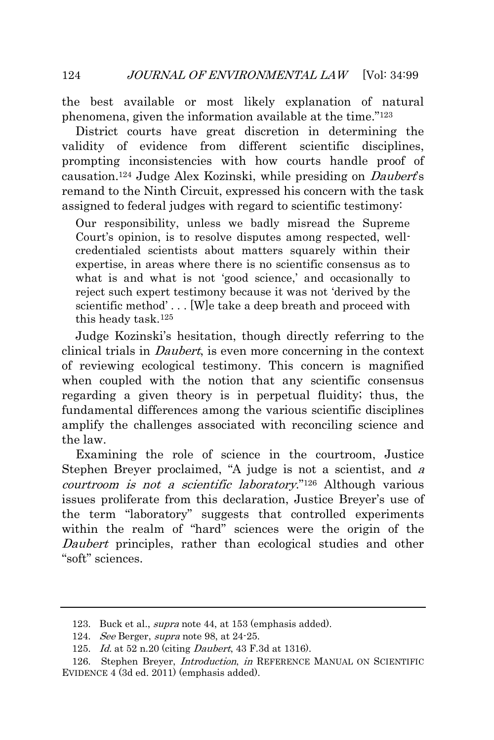the best available or most likely explanation of natural phenomena, given the information available at the time." 123

District courts have great discretion in determining the validity of evidence from different scientific disciplines, prompting inconsistencies with how courts handle proof of causation.<sup>124</sup> Judge Alex Kozinski, while presiding on *Daubert's* remand to the Ninth Circuit, expressed his concern with the task assigned to federal judges with regard to scientific testimony:

Our responsibility, unless we badly misread the Supreme Court's opinion, is to resolve disputes among respected, wellcredentialed scientists about matters squarely within their expertise, in areas where there is no scientific consensus as to what is and what is not 'good science,' and occasionally to reject such expert testimony because it was not 'derived by the scientific method' . . . [W]e take a deep breath and proceed with this heady task.<sup>125</sup>

Judge Kozinski's hesitation, though directly referring to the clinical trials in Daubert, is even more concerning in the context of reviewing ecological testimony. This concern is magnified when coupled with the notion that any scientific consensus regarding a given theory is in perpetual fluidity; thus, the fundamental differences among the various scientific disciplines amplify the challenges associated with reconciling science and the law.

Examining the role of science in the courtroom, Justice Stephen Breyer proclaimed, "A judge is not a scientist, and <sup>a</sup> courtroom is not a scientific laboratory." <sup>126</sup> Although various issues proliferate from this declaration, Justice Breyer's use of the term "laboratory" suggests that controlled experiments within the realm of "hard" sciences were the origin of the Daubert principles, rather than ecological studies and other "soft" sciences.

<sup>123.</sup> Buck et al., *supra* note 44, at 153 (emphasis added).

<sup>124.</sup> See Berger, supra note 98, at 24-25.

<sup>125.</sup> *Id.* at 52 n.20 (citing *Daubert*, 43 F.3d at 1316).

<sup>126.</sup> Stephen Breyer, *Introduction*, in REFERENCE MANUAL ON SCIENTIFIC EVIDENCE 4 (3d ed. 2011) (emphasis added).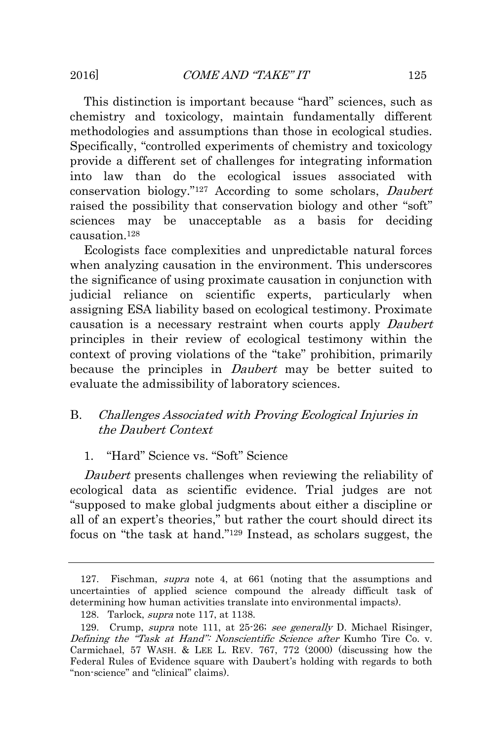This distinction is important because "hard" sciences, such as chemistry and toxicology, maintain fundamentally different methodologies and assumptions than those in ecological studies. Specifically, "controlled experiments of chemistry and toxicology provide a different set of challenges for integrating information into law than do the ecological issues associated with conservation biology." <sup>127</sup> According to some scholars, Daubert raised the possibility that conservation biology and other "soft" sciences may be unacceptable as a basis for deciding causation.<sup>128</sup>

Ecologists face complexities and unpredictable natural forces when analyzing causation in the environment. This underscores the significance of using proximate causation in conjunction with judicial reliance on scientific experts, particularly when assigning ESA liability based on ecological testimony. Proximate causation is a necessary restraint when courts apply Daubert principles in their review of ecological testimony within the context of proving violations of the "take" prohibition, primarily because the principles in *Daubert* may be better suited to evaluate the admissibility of laboratory sciences.

## <span id="page-27-0"></span>B. Challenges Associated with Proving Ecological Injuries in the Daubert Context

## <span id="page-27-1"></span>1. "Hard" Science vs. "Soft" Science

Daubert presents challenges when reviewing the reliability of ecological data as scientific evidence. Trial judges are not "supposed to make global judgments about either a discipline or all of an expert's theories," but rather the court should direct its focus on "the task at hand." <sup>129</sup> Instead, as scholars suggest, the

<sup>127.</sup> Fischman, supra note 4, at 661 (noting that the assumptions and uncertainties of applied science compound the already difficult task of determining how human activities translate into environmental impacts).

<sup>128.</sup> Tarlock, supra note 117, at 1138.

<sup>129.</sup> Crump, supra note 111, at 25-26; see generally D. Michael Risinger, Defining the "Task at Hand": Nonscientific Science after Kumho Tire Co. v. Carmichael, 57 WASH. & LEE L. REV. 767, 772 (2000) (discussing how the Federal Rules of Evidence square with Daubert's holding with regards to both "non-science" and "clinical" claims).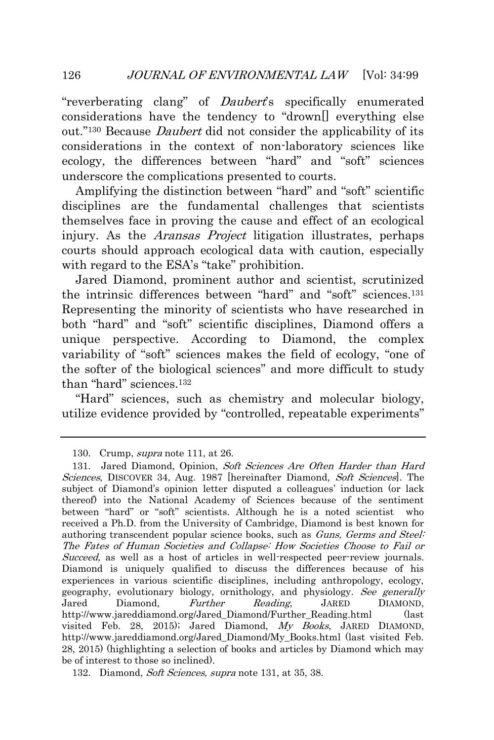"reverberating clang" of *Daubert*'s specifically enumerated considerations have the tendency to "drown[] everything else out."<sup>130</sup> Because *Daubert* did not consider the applicability of its considerations in the context of non-laboratory sciences like ecology, the differences between "hard" and "soft" sciences underscore the complications presented to courts.

Amplifying the distinction between "hard" and "soft" scientific disciplines are the fundamental challenges that scientists themselves face in proving the cause and effect of an ecological injury. As the Aransas Project litigation illustrates, perhaps courts should approach ecological data with caution, especially with regard to the ESA's "take" prohibition.

Jared Diamond, prominent author and scientist, scrutinized the intrinsic differences between "hard" and "soft" sciences.<sup>131</sup> Representing the minority of scientists who have researched in both "hard" and "soft" scientific disciplines, Diamond offers a unique perspective. According to Diamond, the complex variability of "soft" sciences makes the field of ecology, "one of the softer of the biological sciences" and more difficult to study than "hard" sciences.<sup>132</sup>

"Hard" sciences, such as chemistry and molecular biology, utilize evidence provided by "controlled, repeatable experiments"

132. Diamond, Soft Sciences, supra note 131, at 35, 38.

<sup>130.</sup> Crump, *supra* note 111, at 26.

<sup>131.</sup> Jared Diamond, Opinion, Soft Sciences Are Often Harder than Hard Sciences, DISCOVER 34, Aug. 1987 [hereinafter Diamond, Soft Sciences]. The subject of Diamond's opinion letter disputed a colleagues' induction (or lack thereof) into the National Academy of Sciences because of the sentiment between "hard" or "soft" scientists. Although he is a noted scientist who received a Ph.D. from the University of Cambridge, Diamond is best known for authoring transcendent popular science books, such as Guns, Germs and Steel: The Fates of Human Societies and Collapse: How Societies Choose to Fail or Succeed, as well as a host of articles in well-respected peer-review journals. Diamond is uniquely qualified to discuss the differences because of his experiences in various scientific disciplines, including anthropology, ecology, geography, evolutionary biology, ornithology, and physiology. See generally Jared Diamond, Further Reading, JARED DIAMOND, http://www.jareddiamond.org/Jared\_Diamond/Further\_Reading.html (last visited Feb. 28, 2015); Jared Diamond, My Books, JARED DIAMOND, http://www.jareddiamond.org/Jared\_Diamond/My\_Books.html (last visited Feb. 28, 2015) (highlighting a selection of books and articles by Diamond which may be of interest to those so inclined).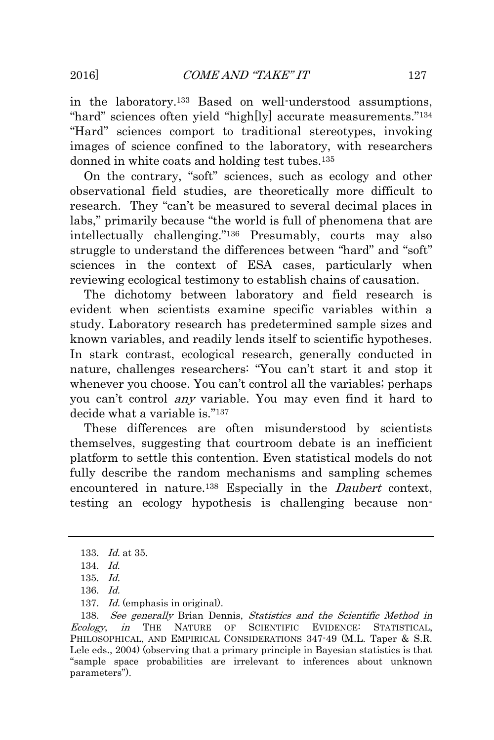in the laboratory.<sup>133</sup> Based on well-understood assumptions, "hard" sciences often yield "high[ly] accurate measurements." 134 "Hard" sciences comport to traditional stereotypes, invoking images of science confined to the laboratory, with researchers donned in white coats and holding test tubes.<sup>135</sup>

On the contrary, "soft" sciences, such as ecology and other observational field studies, are theoretically more difficult to research. They "can't be measured to several decimal places in labs," primarily because "the world is full of phenomena that are intellectually challenging." <sup>136</sup> Presumably, courts may also struggle to understand the differences between "hard" and "soft" sciences in the context of ESA cases, particularly when reviewing ecological testimony to establish chains of causation.

The dichotomy between laboratory and field research is evident when scientists examine specific variables within a study. Laboratory research has predetermined sample sizes and known variables, and readily lends itself to scientific hypotheses. In stark contrast, ecological research, generally conducted in nature, challenges researchers: "You can't start it and stop it whenever you choose. You can't control all the variables; perhaps you can't control any variable. You may even find it hard to decide what a variable is."<sup>137</sup>

These differences are often misunderstood by scientists themselves, suggesting that courtroom debate is an inefficient platform to settle this contention. Even statistical models do not fully describe the random mechanisms and sampling schemes encountered in nature.<sup>138</sup> Especially in the *Daubert* context, testing an ecology hypothesis is challenging because non-

<sup>133.</sup> Id. at 35.

<sup>134.</sup> Id.

<sup>135.</sup> Id.

<sup>136.</sup> Id.

<sup>137.</sup> Id. (emphasis in original).

<sup>138.</sup> See generally Brian Dennis, Statistics and the Scientific Method in Ecology, in THE NATURE OF SCIENTIFIC EVIDENCE: STATISTICAL, PHILOSOPHICAL, AND EMPIRICAL CONSIDERATIONS 347-49 (M.L. Taper & S.R. Lele eds., 2004) (observing that a primary principle in Bayesian statistics is that "sample space probabilities are irrelevant to inferences about unknown parameters").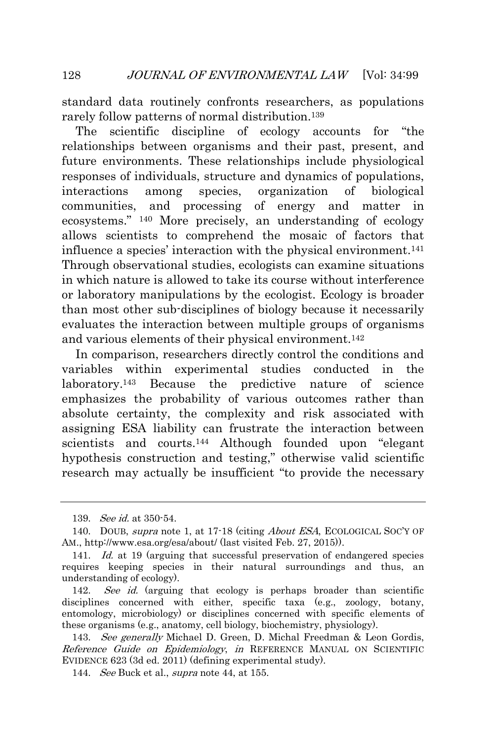standard data routinely confronts researchers, as populations rarely follow patterns of normal distribution.<sup>139</sup>

The scientific discipline of ecology accounts for "the relationships between organisms and their past, present, and future environments. These relationships include physiological responses of individuals, structure and dynamics of populations, interactions among species, organization of biological communities, and processing of energy and matter in ecosystems." <sup>140</sup> More precisely, an understanding of ecology allows scientists to comprehend the mosaic of factors that influence a species' interaction with the physical environment.<sup>141</sup> Through observational studies, ecologists can examine situations in which nature is allowed to take its course without interference or laboratory manipulations by the ecologist. Ecology is broader than most other sub-disciplines of biology because it necessarily evaluates the interaction between multiple groups of organisms and various elements of their physical environment.<sup>142</sup>

In comparison, researchers directly control the conditions and variables within experimental studies conducted in the laboratory.<sup>143</sup> Because the predictive nature of science emphasizes the probability of various outcomes rather than absolute certainty, the complexity and risk associated with assigning ESA liability can frustrate the interaction between scientists and courts.<sup>144</sup> Although founded upon "elegant" hypothesis construction and testing," otherwise valid scientific research may actually be insufficient "to provide the necessary

<sup>139.</sup> See id. at 350-54.

<sup>140.</sup> DOUB, supra note 1, at 17-18 (citing *About ESA*, ECOLOGICAL SOC'Y OF AM., http://www.esa.org/esa/about/ (last visited Feb. 27, 2015)).

<sup>141.</sup> Id. at 19 (arguing that successful preservation of endangered species requires keeping species in their natural surroundings and thus, an understanding of ecology).

<sup>142.</sup> See id. (arguing that ecology is perhaps broader than scientific disciplines concerned with either, specific taxa (e.g., zoology, botany, entomology, microbiology) or disciplines concerned with specific elements of these organisms (e.g., anatomy, cell biology, biochemistry, physiology).

<sup>143.</sup> See generally Michael D. Green, D. Michal Freedman & Leon Gordis, Reference Guide on Epidemiology, in REFERENCE MANUAL ON SCIENTIFIC EVIDENCE 623 (3d ed. 2011) (defining experimental study).

<sup>144.</sup> See Buck et al., *supra* note 44, at 155.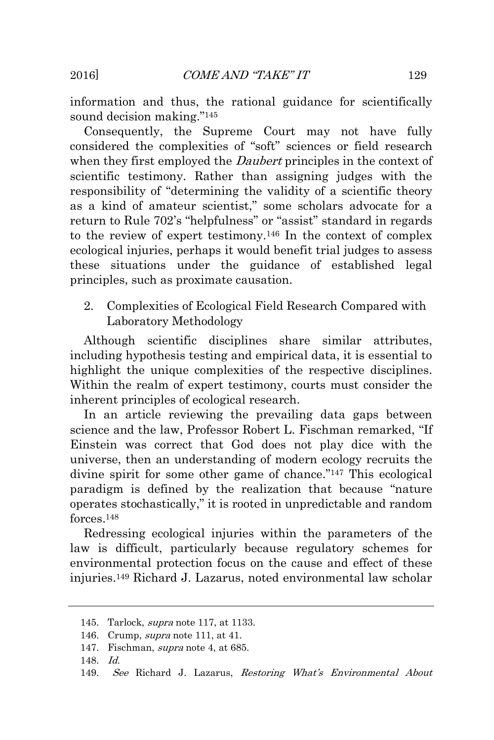information and thus, the rational guidance for scientifically sound decision making." 145

Consequently, the Supreme Court may not have fully considered the complexities of "soft" sciences or field research when they first employed the *Daubert* principles in the context of scientific testimony. Rather than assigning judges with the responsibility of "determining the validity of a scientific theory as a kind of amateur scientist," some scholars advocate for a return to Rule 702's "helpfulness" or "assist" standard in regards to the review of expert testimony.<sup>146</sup> In the context of complex ecological injuries, perhaps it would benefit trial judges to assess these situations under the guidance of established legal principles, such as proximate causation.

<span id="page-31-0"></span>2. Complexities of Ecological Field Research Compared with Laboratory Methodology

Although scientific disciplines share similar attributes, including hypothesis testing and empirical data, it is essential to highlight the unique complexities of the respective disciplines. Within the realm of expert testimony, courts must consider the inherent principles of ecological research.

In an article reviewing the prevailing data gaps between science and the law, Professor Robert L. Fischman remarked, "If Einstein was correct that God does not play dice with the universe, then an understanding of modern ecology recruits the divine spirit for some other game of chance." <sup>147</sup> This ecological paradigm is defined by the realization that because "nature operates stochastically," it is rooted in unpredictable and random forces<sup>148</sup>

Redressing ecological injuries within the parameters of the law is difficult, particularly because regulatory schemes for environmental protection focus on the cause and effect of these injuries.<sup>149</sup> Richard J. Lazarus, noted environmental law scholar

<sup>145.</sup> Tarlock, supra note 117, at 1133.

<sup>146.</sup> Crump, supra note 111, at 41.

<sup>147.</sup> Fischman, supra note 4, at 685.

<sup>148.</sup> Id.

<sup>149.</sup> See Richard J. Lazarus, Restoring What's Environmental About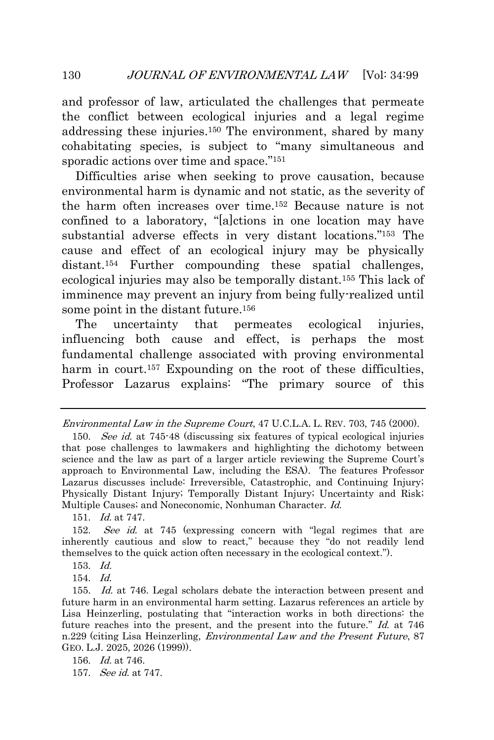and professor of law, articulated the challenges that permeate the conflict between ecological injuries and a legal regime addressing these injuries.<sup>150</sup> The environment, shared by many cohabitating species, is subject to "many simultaneous and sporadic actions over time and space."<sup>151</sup>

Difficulties arise when seeking to prove causation, because environmental harm is dynamic and not static, as the severity of the harm often increases over time.<sup>152</sup> Because nature is not confined to a laboratory, "[a]ctions in one location may have substantial adverse effects in very distant locations." <sup>153</sup> The cause and effect of an ecological injury may be physically distant.<sup>154</sup> Further compounding these spatial challenges, ecological injuries may also be temporally distant.<sup>155</sup> This lack of imminence may prevent an injury from being fully-realized until some point in the distant future.<sup>156</sup>

The uncertainty that permeates ecological injuries, influencing both cause and effect, is perhaps the most fundamental challenge associated with proving environmental harm in court.<sup>157</sup> Expounding on the root of these difficulties, Professor Lazarus explains: "The primary source of this

151. Id. at 747.

153. Id.

154. Id.

Environmental Law in the Supreme Court, 47 U.C.L.A. L. REV. 703, 745 (2000).

<sup>150.</sup> See id. at 745-48 (discussing six features of typical ecological injuries that pose challenges to lawmakers and highlighting the dichotomy between science and the law as part of a larger article reviewing the Supreme Court's approach to Environmental Law, including the ESA). The features Professor Lazarus discusses include: Irreversible, Catastrophic, and Continuing Injury; Physically Distant Injury; Temporally Distant Injury; Uncertainty and Risk; Multiple Causes; and Noneconomic, Nonhuman Character. Id.

<sup>152.</sup> See id. at 745 (expressing concern with "legal regimes that are inherently cautious and slow to react," because they "do not readily lend themselves to the quick action often necessary in the ecological context.").

<sup>155.</sup> Id. at 746. Legal scholars debate the interaction between present and future harm in an environmental harm setting. Lazarus references an article by Lisa Heinzerling, postulating that "interaction works in both directions: the future reaches into the present, and the present into the future." Id. at 746 n.229 (citing Lisa Heinzerling, *Environmental Law and the Present Future*, 87 GEO. L.J. 2025, 2026 (1999)).

<sup>156.</sup> *Id.* at 746.

<sup>157.</sup> See id. at 747.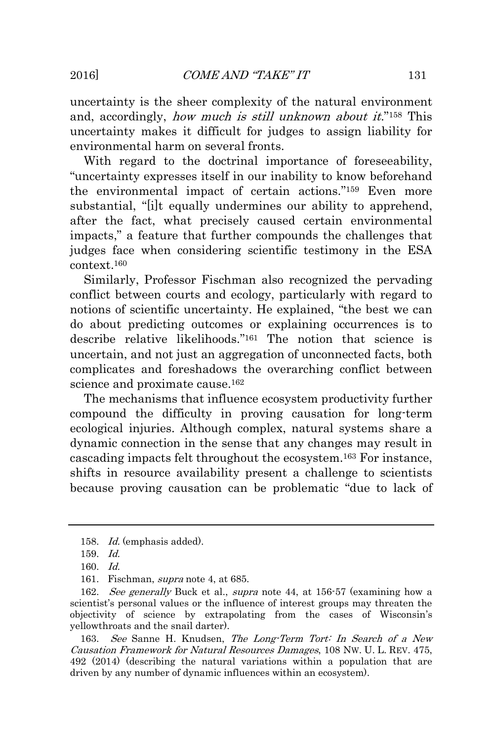uncertainty is the sheer complexity of the natural environment and, accordingly, *how much is still unknown about it.*"<sup>158</sup> This uncertainty makes it difficult for judges to assign liability for environmental harm on several fronts.

With regard to the doctrinal importance of foreseeability, "uncertainty expresses itself in our inability to know beforehand the environmental impact of certain actions." <sup>159</sup> Even more substantial, "[i]t equally undermines our ability to apprehend, after the fact, what precisely caused certain environmental impacts," a feature that further compounds the challenges that judges face when considering scientific testimony in the ESA context.<sup>160</sup>

Similarly, Professor Fischman also recognized the pervading conflict between courts and ecology, particularly with regard to notions of scientific uncertainty. He explained, "the best we can do about predicting outcomes or explaining occurrences is to describe relative likelihoods." <sup>161</sup> The notion that science is uncertain, and not just an aggregation of unconnected facts, both complicates and foreshadows the overarching conflict between science and proximate cause.<sup>162</sup>

The mechanisms that influence ecosystem productivity further compound the difficulty in proving causation for long-term ecological injuries. Although complex, natural systems share a dynamic connection in the sense that any changes may result in cascading impacts felt throughout the ecosystem.<sup>163</sup> For instance, shifts in resource availability present a challenge to scientists because proving causation can be problematic "due to lack of

163. See Sanne H. Knudsen, The Long-Term Tort: In Search of a New Causation Framework for Natural Resources Damages, 108 NW. U. L. REV. 475, 492 (2014) (describing the natural variations within a population that are driven by any number of dynamic influences within an ecosystem).

<sup>158.</sup> Id. (emphasis added).

<sup>159.</sup> Id.

<sup>160.</sup> Id.

<sup>161.</sup> Fischman, supra note 4, at 685.

<sup>162.</sup> See generally Buck et al., supra note 44, at 156-57 (examining how a scientist's personal values or the influence of interest groups may threaten the objectivity of science by extrapolating from the cases of Wisconsin's yellowthroats and the snail darter).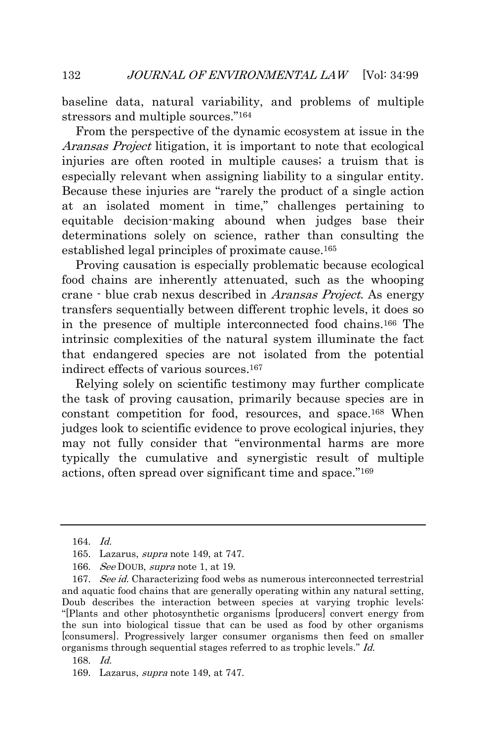baseline data, natural variability, and problems of multiple stressors and multiple sources." 164

From the perspective of the dynamic ecosystem at issue in the Aransas Project litigation, it is important to note that ecological injuries are often rooted in multiple causes; a truism that is especially relevant when assigning liability to a singular entity. Because these injuries are "rarely the product of a single action at an isolated moment in time," challenges pertaining to equitable decision-making abound when judges base their determinations solely on science, rather than consulting the established legal principles of proximate cause.<sup>165</sup>

Proving causation is especially problematic because ecological food chains are inherently attenuated, such as the whooping crane - blue crab nexus described in Aransas Project. As energy transfers sequentially between different trophic levels, it does so in the presence of multiple interconnected food chains.<sup>166</sup> The intrinsic complexities of the natural system illuminate the fact that endangered species are not isolated from the potential indirect effects of various sources.<sup>167</sup>

Relying solely on scientific testimony may further complicate the task of proving causation, primarily because species are in constant competition for food, resources, and space.<sup>168</sup> When judges look to scientific evidence to prove ecological injuries, they may not fully consider that "environmental harms are more typically the cumulative and synergistic result of multiple actions, often spread over significant time and space." 169

<sup>164.</sup> Id.

<sup>165.</sup> Lazarus, *supra* note 149, at 747.

<sup>166.</sup> See DOUB, supra note 1, at 19.

<sup>167.</sup> See id. Characterizing food webs as numerous interconnected terrestrial and aquatic food chains that are generally operating within any natural setting, Doub describes the interaction between species at varying trophic levels: "[Plants and other photosynthetic organisms [producers] convert energy from the sun into biological tissue that can be used as food by other organisms [consumers]. Progressively larger consumer organisms then feed on smaller organisms through sequential stages referred to as trophic levels." Id.

<sup>168.</sup> Id.

<sup>169.</sup> Lazarus, *supra* note 149, at 747.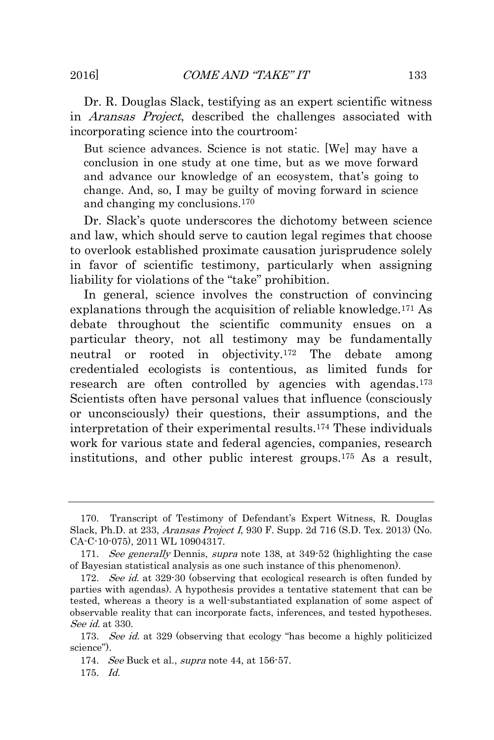Dr. R. Douglas Slack, testifying as an expert scientific witness in Aransas Project, described the challenges associated with incorporating science into the courtroom:

But science advances. Science is not static. [We] may have a conclusion in one study at one time, but as we move forward and advance our knowledge of an ecosystem, that's going to change. And, so, I may be guilty of moving forward in science and changing my conclusions.<sup>170</sup>

Dr. Slack's quote underscores the dichotomy between science and law, which should serve to caution legal regimes that choose to overlook established proximate causation jurisprudence solely in favor of scientific testimony, particularly when assigning liability for violations of the "take" prohibition.

In general, science involves the construction of convincing explanations through the acquisition of reliable knowledge.<sup>171</sup> As debate throughout the scientific community ensues on a particular theory, not all testimony may be fundamentally neutral or rooted in objectivity.<sup>172</sup> The debate among credentialed ecologists is contentious, as limited funds for research are often controlled by agencies with agendas.<sup>173</sup> Scientists often have personal values that influence (consciously or unconsciously) their questions, their assumptions, and the interpretation of their experimental results.<sup>174</sup> These individuals work for various state and federal agencies, companies, research institutions, and other public interest groups.<sup>175</sup> As a result,

<sup>170.</sup> Transcript of Testimony of Defendant's Expert Witness, R. Douglas Slack, Ph.D. at 233, Aransas Project I, 930 F. Supp. 2d 716 (S.D. Tex. 2013) (No. CA-C-10-075), 2011 WL 10904317.

<sup>171.</sup> See generally Dennis, supra note 138, at 349-52 (highlighting the case of Bayesian statistical analysis as one such instance of this phenomenon).

<sup>172.</sup> See id. at 329-30 (observing that ecological research is often funded by parties with agendas). A hypothesis provides a tentative statement that can be tested, whereas a theory is a well-substantiated explanation of some aspect of observable reality that can incorporate facts, inferences, and tested hypotheses. See id. at 330.

<sup>173.</sup> See id. at 329 (observing that ecology "has become a highly politicized science").

<sup>174.</sup> See Buck et al., supra note 44, at 156-57.

<sup>175.</sup> Id.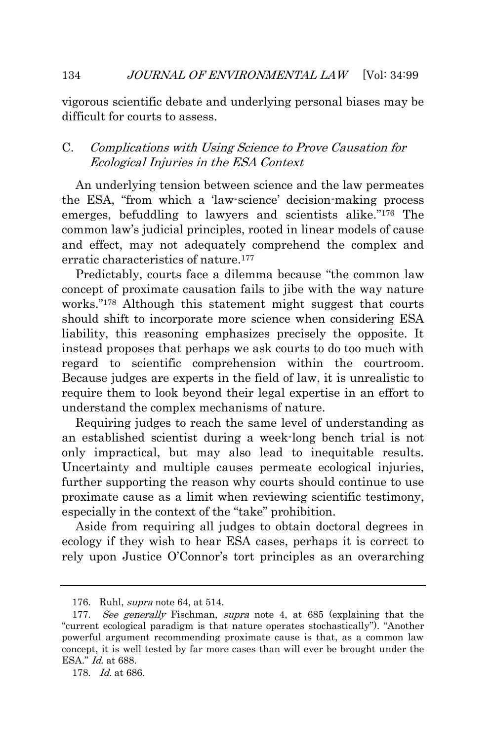vigorous scientific debate and underlying personal biases may be difficult for courts to assess.

## <span id="page-36-0"></span>C. Complications with Using Science to Prove Causation for Ecological Injuries in the ESA Context

An underlying tension between science and the law permeates the ESA, "from which a 'law-science' decision-making process emerges, befuddling to lawyers and scientists alike." <sup>176</sup> The common law's judicial principles, rooted in linear models of cause and effect, may not adequately comprehend the complex and erratic characteristics of nature.<sup>177</sup>

Predictably, courts face a dilemma because "the common law concept of proximate causation fails to jibe with the way nature works." <sup>178</sup> Although this statement might suggest that courts should shift to incorporate more science when considering ESA liability, this reasoning emphasizes precisely the opposite. It instead proposes that perhaps we ask courts to do too much with regard to scientific comprehension within the courtroom. Because judges are experts in the field of law, it is unrealistic to require them to look beyond their legal expertise in an effort to understand the complex mechanisms of nature.

Requiring judges to reach the same level of understanding as an established scientist during a week-long bench trial is not only impractical, but may also lead to inequitable results. Uncertainty and multiple causes permeate ecological injuries, further supporting the reason why courts should continue to use proximate cause as a limit when reviewing scientific testimony, especially in the context of the "take" prohibition.

Aside from requiring all judges to obtain doctoral degrees in ecology if they wish to hear ESA cases, perhaps it is correct to rely upon Justice O'Connor's tort principles as an overarching

<sup>176.</sup> Ruhl, supra note 64, at 514.

<sup>177.</sup> See generally Fischman, supra note 4, at 685 (explaining that the "current ecological paradigm is that nature operates stochastically"). "Another powerful argument recommending proximate cause is that, as a common law concept, it is well tested by far more cases than will ever be brought under the ESA." *Id.* at 688.

<sup>178.</sup> Id. at 686.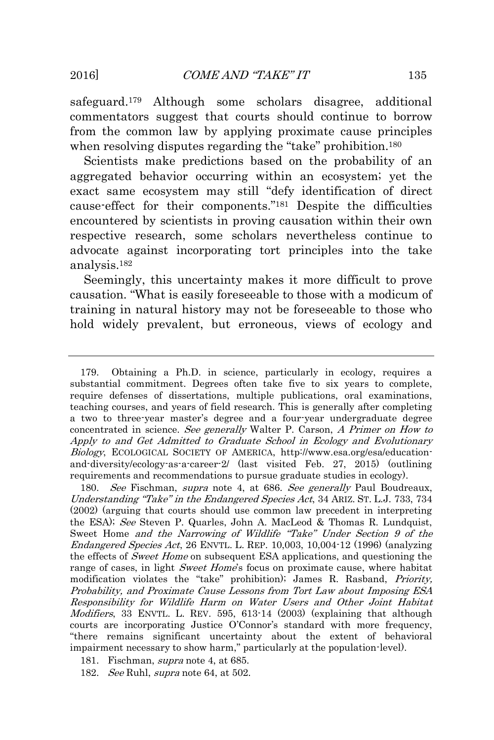safeguard.<sup>179</sup> Although some scholars disagree, additional commentators suggest that courts should continue to borrow from the common law by applying proximate cause principles when resolving disputes regarding the "take" prohibition.<sup>180</sup>

Scientists make predictions based on the probability of an aggregated behavior occurring within an ecosystem; yet the exact same ecosystem may still "defy identification of direct cause-effect for their components." <sup>181</sup> Despite the difficulties encountered by scientists in proving causation within their own respective research, some scholars nevertheless continue to advocate against incorporating tort principles into the take analysis.<sup>182</sup>

Seemingly, this uncertainty makes it more difficult to prove causation. "What is easily foreseeable to those with a modicum of training in natural history may not be foreseeable to those who hold widely prevalent, but erroneous, views of ecology and

180. See Fischman, *supra* note 4, at 686. See generally Paul Boudreaux, Understanding "Take" in the Endangered Species Act, 34 ARIZ. ST. L.J. 733, 734 (2002) (arguing that courts should use common law precedent in interpreting the ESA); See Steven P. Quarles, John A. MacLeod & Thomas R. Lundquist, Sweet Home and the Narrowing of Wildlife "Take" Under Section 9 of the Endangered Species Act, 26 ENVTL. L. REP. 10,003, 10,004-12 (1996) (analyzing the effects of Sweet Home on subsequent ESA applications, and questioning the range of cases, in light Sweet Home's focus on proximate cause, where habitat modification violates the "take" prohibition); James R. Rasband, Priority, Probability, and Proximate Cause Lessons from Tort Law about Imposing ESA Responsibility for Wildlife Harm on Water Users and Other Joint Habitat Modifiers, 33 ENVTL. L. REV. 595, 613-14 (2003) (explaining that although courts are incorporating Justice O'Connor's standard with more frequency, "there remains significant uncertainty about the extent of behavioral impairment necessary to show harm," particularly at the population-level).

<sup>179.</sup> Obtaining a Ph.D. in science, particularly in ecology, requires a substantial commitment. Degrees often take five to six years to complete, require defenses of dissertations, multiple publications, oral examinations, teaching courses, and years of field research. This is generally after completing a two to three-year master's degree and a four-year undergraduate degree concentrated in science. See generally Walter P. Carson, A Primer on How to Apply to and Get Admitted to Graduate School in Ecology and Evolutionary Biology, ECOLOGICAL SOCIETY OF AMERICA, http://www.esa.org/esa/educationand-diversity/ecology-as-a-career-2/ (last visited Feb. 27, 2015) (outlining requirements and recommendations to pursue graduate studies in ecology).

<sup>181.</sup> Fischman, supra note 4, at 685.

<sup>182.</sup> *See* Ruhl, *supra* note 64, at 502.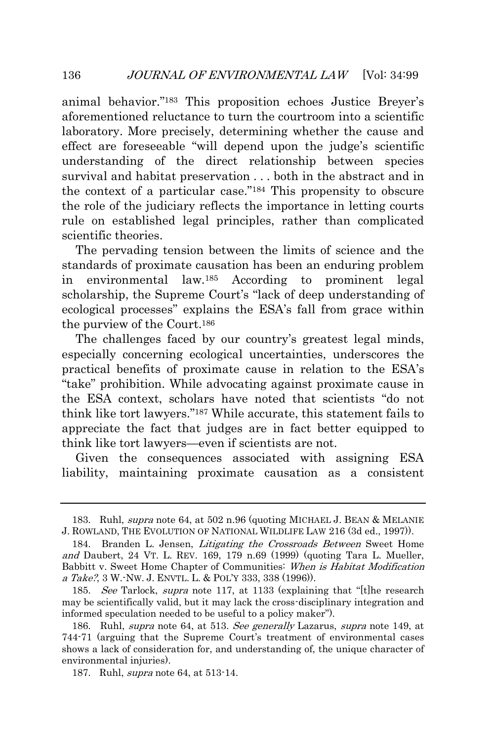animal behavior." <sup>183</sup> This proposition echoes Justice Breyer's aforementioned reluctance to turn the courtroom into a scientific laboratory. More precisely, determining whether the cause and effect are foreseeable "will depend upon the judge's scientific understanding of the direct relationship between species survival and habitat preservation . . . both in the abstract and in the context of a particular case." <sup>184</sup> This propensity to obscure the role of the judiciary reflects the importance in letting courts rule on established legal principles, rather than complicated scientific theories.

The pervading tension between the limits of science and the standards of proximate causation has been an enduring problem in environmental law.<sup>185</sup> According to prominent legal scholarship, the Supreme Court's "lack of deep understanding of ecological processes" explains the ESA's fall from grace within the purview of the Court.<sup>186</sup>

The challenges faced by our country's greatest legal minds, especially concerning ecological uncertainties, underscores the practical benefits of proximate cause in relation to the ESA's "take" prohibition. While advocating against proximate cause in the ESA context, scholars have noted that scientists "do not think like tort lawyers." <sup>187</sup> While accurate, this statement fails to appreciate the fact that judges are in fact better equipped to think like tort lawyers—even if scientists are not.

Given the consequences associated with assigning ESA liability, maintaining proximate causation as a consistent

<sup>183.</sup> Ruhl, supra note 64, at 502 n.96 (quoting MICHAEL J. BEAN & MELANIE J. ROWLAND, THE EVOLUTION OF NATIONAL WILDLIFE LAW 216 (3d ed., 1997)).

<sup>184.</sup> Branden L. Jensen, *Litigating the Crossroads Between* Sweet Home and Daubert, 24 VT. L. REV. 169, 179 n.69 (1999) (quoting Tara L. Mueller, Babbitt v. Sweet Home Chapter of Communities: When is Habitat Modification a Take?, 3 W.-Nw. J. ENVTL. L. & POL'Y 333, 338 (1996)).

<sup>185.</sup> See Tarlock, supra note 117, at 1133 (explaining that "[t] the research may be scientifically valid, but it may lack the cross-disciplinary integration and informed speculation needed to be useful to a policy maker").

<sup>186.</sup> Ruhl, supra note 64, at 513. See generally Lazarus, supra note 149, at 744-71 (arguing that the Supreme Court's treatment of environmental cases shows a lack of consideration for, and understanding of, the unique character of environmental injuries).

<sup>187.</sup> Ruhl, *supra* note 64, at 513-14.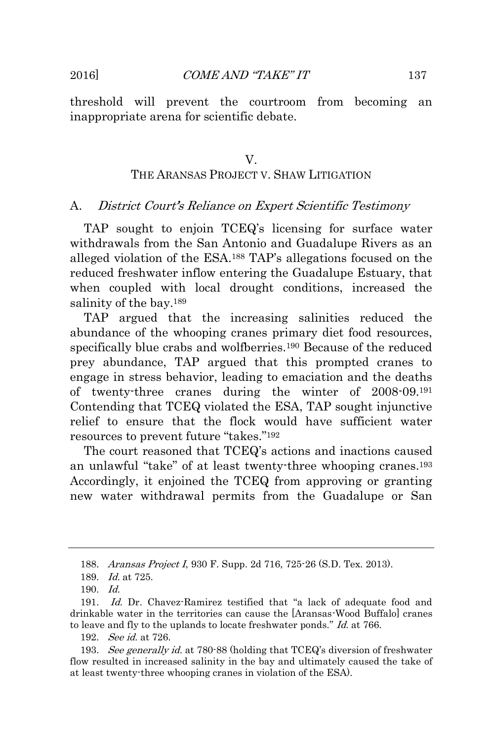<span id="page-39-0"></span>threshold will prevent the courtroom from becoming an inappropriate arena for scientific debate.

## V. THE ARANSAS PROJECT V. SHAW LITIGATION

#### <span id="page-39-1"></span>A. District Court's Reliance on Expert Scientific Testimony

TAP sought to enjoin TCEQ's licensing for surface water withdrawals from the San Antonio and Guadalupe Rivers as an alleged violation of the ESA.<sup>188</sup> TAP's allegations focused on the reduced freshwater inflow entering the Guadalupe Estuary, that when coupled with local drought conditions, increased the salinity of the bay.<sup>189</sup>

TAP argued that the increasing salinities reduced the abundance of the whooping cranes primary diet food resources, specifically blue crabs and wolfberries.<sup>190</sup> Because of the reduced prey abundance, TAP argued that this prompted cranes to engage in stress behavior, leading to emaciation and the deaths of twenty-three cranes during the winter of 2008-09.<sup>191</sup> Contending that TCEQ violated the ESA, TAP sought injunctive relief to ensure that the flock would have sufficient water resources to prevent future "takes." 192

The court reasoned that TCEQ's actions and inactions caused an unlawful "take" of at least twenty-three whooping cranes.<sup>193</sup> Accordingly, it enjoined the TCEQ from approving or granting new water withdrawal permits from the Guadalupe or San

<sup>188.</sup> Aransas Project I, 930 F. Supp. 2d 716, 725-26 (S.D. Tex. 2013).

<sup>189.</sup> Id. at 725.

 $190 \quad Id$ 

<sup>191.</sup> Id. Dr. Chavez-Ramirez testified that "a lack of adequate food and drinkable water in the territories can cause the [Aransas-Wood Buffalo] cranes to leave and fly to the uplands to locate freshwater ponds." Id. at 766.

<sup>192.</sup> See id. at 726.

<sup>193.</sup> See generally id. at 780-88 (holding that TCEQ's diversion of freshwater flow resulted in increased salinity in the bay and ultimately caused the take of at least twenty-three whooping cranes in violation of the ESA).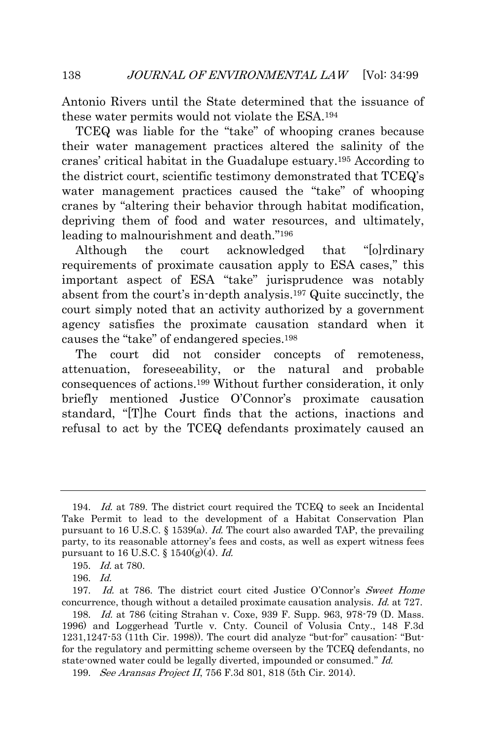Antonio Rivers until the State determined that the issuance of these water permits would not violate the ESA.<sup>194</sup>

TCEQ was liable for the "take" of whooping cranes because their water management practices altered the salinity of the cranes' critical habitat in the Guadalupe estuary.<sup>195</sup> According to the district court, scientific testimony demonstrated that TCEQ's water management practices caused the "take" of whooping cranes by "altering their behavior through habitat modification, depriving them of food and water resources, and ultimately, leading to malnourishment and death." 196

Although the court acknowledged that "[o]rdinary requirements of proximate causation apply to ESA cases," this important aspect of ESA "take" jurisprudence was notably absent from the court's in-depth analysis.<sup>197</sup> Quite succinctly, the court simply noted that an activity authorized by a government agency satisfies the proximate causation standard when it causes the "take" of endangered species.<sup>198</sup>

The court did not consider concepts of remoteness, attenuation, foreseeability, or the natural and probable consequences of actions.<sup>199</sup> Without further consideration, it only briefly mentioned Justice O'Connor's proximate causation standard, "[T]he Court finds that the actions, inactions and refusal to act by the TCEQ defendants proximately caused an

<sup>194.</sup> Id. at 789. The district court required the TCEQ to seek an Incidental Take Permit to lead to the development of a Habitat Conservation Plan pursuant to 16 U.S.C. § 1539(a). Id. The court also awarded TAP, the prevailing party, to its reasonable attorney's fees and costs, as well as expert witness fees pursuant to 16 U.S.C. §  $1540(g)(4)$ . *Id.* 

<sup>195.</sup> Id. at 780.

<sup>196.</sup> Id.

<sup>197.</sup> Id. at 786. The district court cited Justice O'Connor's Sweet Home concurrence, though without a detailed proximate causation analysis. Id. at 727.

<sup>198.</sup> Id. at 786 (citing Strahan v. Coxe, 939 F. Supp. 963, 978-79 (D. Mass.) 1996) and Loggerhead Turtle v. Cnty. Council of Volusia Cnty., 148 F.3d 1231,1247-53 (11th Cir. 1998)). The court did analyze "but-for" causation: "Butfor the regulatory and permitting scheme overseen by the TCEQ defendants, no state-owned water could be legally diverted, impounded or consumed." Id.

<sup>199.</sup> See Aransas Project II, 756 F.3d 801, 818 (5th Cir. 2014).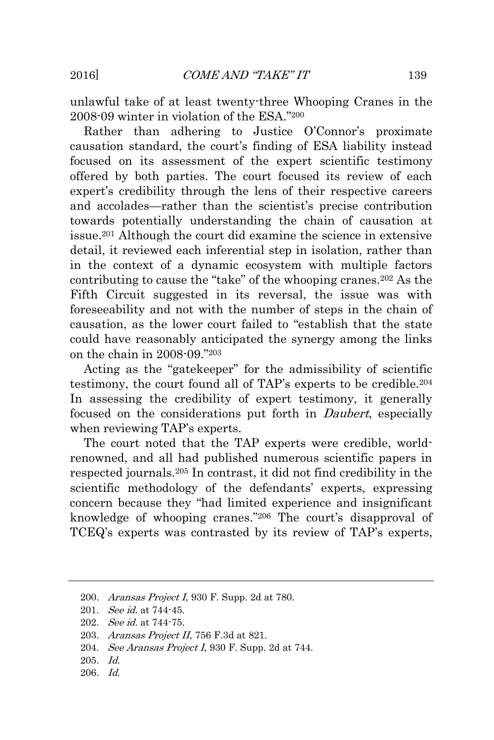unlawful take of at least twenty-three Whooping Cranes in the 2008-09 winter in violation of the ESA." 200

Rather than adhering to Justice O'Connor's proximate causation standard, the court's finding of ESA liability instead focused on its assessment of the expert scientific testimony offered by both parties. The court focused its review of each expert's credibility through the lens of their respective careers and accolades—rather than the scientist's precise contribution towards potentially understanding the chain of causation at issue.<sup>201</sup> Although the court did examine the science in extensive detail, it reviewed each inferential step in isolation, rather than in the context of a dynamic ecosystem with multiple factors contributing to cause the "take" of the whooping cranes.<sup>202</sup> As the Fifth Circuit suggested in its reversal, the issue was with foreseeability and not with the number of steps in the chain of causation, as the lower court failed to "establish that the state could have reasonably anticipated the synergy among the links on the chain in 2008-09." 203

Acting as the "gatekeeper" for the admissibility of scientific testimony, the court found all of TAP's experts to be credible.<sup>204</sup> In assessing the credibility of expert testimony, it generally focused on the considerations put forth in *Daubert*, especially when reviewing TAP's experts.

The court noted that the TAP experts were credible, worldrenowned, and all had published numerous scientific papers in respected journals.<sup>205</sup> In contrast, it did not find credibility in the scientific methodology of the defendants' experts, expressing concern because they "had limited experience and insignificant knowledge of whooping cranes." <sup>206</sup> The court's disapproval of TCEQ's experts was contrasted by its review of TAP's experts,

- 203. Aransas Project II, 756 F.3d at 821.
- 204. *See Aransas Project I*, 930 F. Supp. 2d at 744.
- 205. Id.
- 206. Id.

<sup>200.</sup> Aransas Project I, 930 F. Supp. 2d at 780.

<sup>201.</sup> See id. at 744-45.

<sup>202.</sup> See id. at 744-75.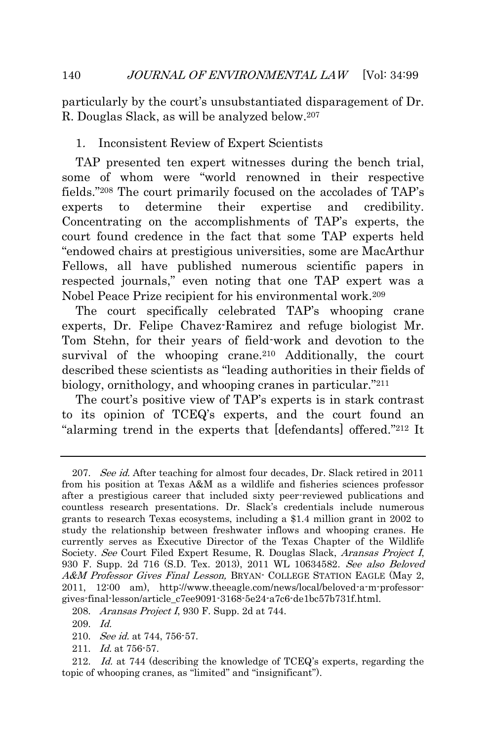particularly by the court's unsubstantiated disparagement of Dr. R. Douglas Slack, as will be analyzed below.<sup>207</sup>

## <span id="page-42-0"></span>1. Inconsistent Review of Expert Scientists

TAP presented ten expert witnesses during the bench trial, some of whom were "world renowned in their respective fields." <sup>208</sup> The court primarily focused on the accolades of TAP's experts to determine their expertise and credibility. Concentrating on the accomplishments of TAP's experts, the court found credence in the fact that some TAP experts held "endowed chairs at prestigious universities, some are MacArthur Fellows, all have published numerous scientific papers in respected journals," even noting that one TAP expert was a Nobel Peace Prize recipient for his environmental work.<sup>209</sup>

The court specifically celebrated TAP's whooping crane experts, Dr. Felipe Chavez-Ramirez and refuge biologist Mr. Tom Stehn, for their years of field-work and devotion to the survival of the whooping crane.<sup>210</sup> Additionally, the court described these scientists as "leading authorities in their fields of biology, ornithology, and whooping cranes in particular." 211

The court's positive view of TAP's experts is in stark contrast to its opinion of TCEQ's experts, and the court found an "alarming trend in the experts that [defendants] offered." <sup>212</sup> It

<sup>207.</sup> See id. After teaching for almost four decades, Dr. Slack retired in 2011 from his position at Texas A&M as a wildlife and fisheries sciences professor after a prestigious career that included sixty peer-reviewed publications and countless research presentations. Dr. Slack's credentials include numerous grants to research Texas ecosystems, including a \$1.4 million grant in 2002 to study the relationship between freshwater inflows and whooping cranes. He currently serves as Executive Director of the Texas Chapter of the Wildlife Society. See Court Filed Expert Resume, R. Douglas Slack, Aransas Project I, 930 F. Supp. 2d 716 (S.D. Tex. 2013), 2011 WL 10634582. See also Beloved A&M Professor Gives Final Lesson, BRYAN- COLLEGE STATION EAGLE (May 2, 2011, 12:00 am), http://www.theeagle.com/news/local/beloved-a-m-professorgives-final-lesson/article\_c7ee9091-3168-5e24-a7c6-de1bc57b731f.html.

<sup>208.</sup> Aransas Project I, 930 F. Supp. 2d at 744.

<sup>209.</sup> Id.

<sup>210.</sup> See id. at 744, 756-57.

<sup>211.</sup> Id. at 756-57.

<sup>212.</sup> Id. at 744 (describing the knowledge of TCEQ's experts, regarding the topic of whooping cranes, as "limited" and "insignificant").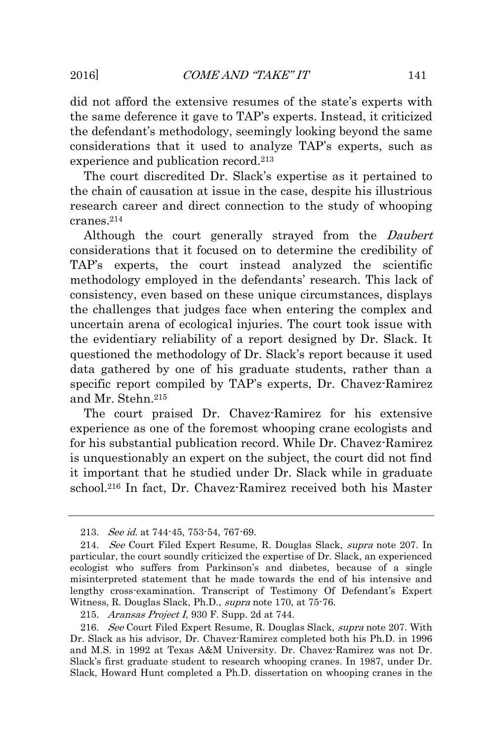did not afford the extensive resumes of the state's experts with the same deference it gave to TAP's experts. Instead, it criticized the defendant's methodology, seemingly looking beyond the same considerations that it used to analyze TAP's experts, such as experience and publication record.<sup>213</sup>

The court discredited Dr. Slack's expertise as it pertained to the chain of causation at issue in the case, despite his illustrious research career and direct connection to the study of whooping cranes.<sup>214</sup>

Although the court generally strayed from the Daubert considerations that it focused on to determine the credibility of TAP's experts, the court instead analyzed the scientific methodology employed in the defendants' research. This lack of consistency, even based on these unique circumstances, displays the challenges that judges face when entering the complex and uncertain arena of ecological injuries. The court took issue with the evidentiary reliability of a report designed by Dr. Slack. It questioned the methodology of Dr. Slack's report because it used data gathered by one of his graduate students, rather than a specific report compiled by TAP's experts, Dr. Chavez-Ramirez and Mr. Stehn.<sup>215</sup>

The court praised Dr. Chavez-Ramirez for his extensive experience as one of the foremost whooping crane ecologists and for his substantial publication record. While Dr. Chavez-Ramirez is unquestionably an expert on the subject, the court did not find it important that he studied under Dr. Slack while in graduate school.<sup>216</sup> In fact, Dr. Chavez-Ramirez received both his Master

<sup>213.</sup> See id. at 744-45, 753-54, 767-69.

<sup>214.</sup> See Court Filed Expert Resume, R. Douglas Slack, supra note 207. In particular, the court soundly criticized the expertise of Dr. Slack, an experienced ecologist who suffers from Parkinson's and diabetes, because of a single misinterpreted statement that he made towards the end of his intensive and lengthy cross-examination. Transcript of Testimony Of Defendant's Expert Witness, R. Douglas Slack, Ph.D., supra note 170, at 75-76.

<sup>215.</sup> Aransas Project I, 930 F. Supp. 2d at 744.

<sup>216.</sup> See Court Filed Expert Resume, R. Douglas Slack, supra note 207. With Dr. Slack as his advisor, Dr. Chavez-Ramirez completed both his Ph.D. in 1996 and M.S. in 1992 at Texas A&M University. Dr. Chavez-Ramirez was not Dr. Slack's first graduate student to research whooping cranes. In 1987, under Dr. Slack, Howard Hunt completed a Ph.D. dissertation on whooping cranes in the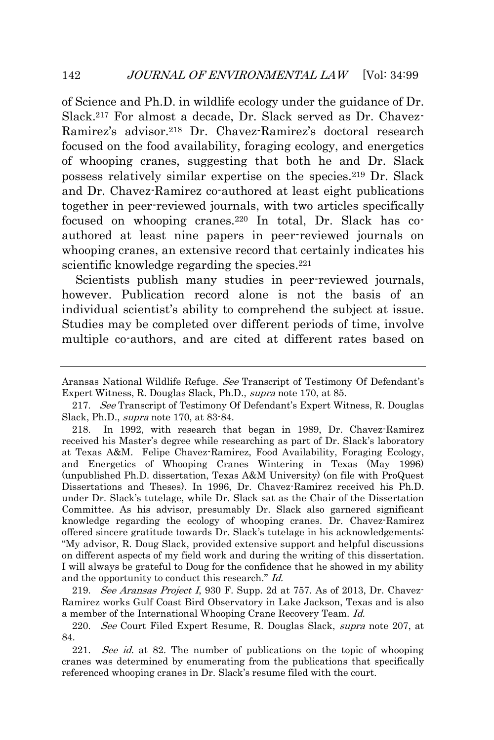of Science and Ph.D. in wildlife ecology under the guidance of Dr. Slack.<sup>217</sup> For almost a decade, Dr. Slack served as Dr. Chavez-Ramirez's advisor.<sup>218</sup> Dr. Chavez-Ramirez's doctoral research focused on the food availability, foraging ecology, and energetics of whooping cranes, suggesting that both he and Dr. Slack possess relatively similar expertise on the species.<sup>219</sup> Dr. Slack and Dr. Chavez-Ramirez co-authored at least eight publications together in peer-reviewed journals, with two articles specifically focused on whooping cranes.<sup>220</sup> In total, Dr. Slack has coauthored at least nine papers in peer-reviewed journals on whooping cranes, an extensive record that certainly indicates his scientific knowledge regarding the species.<sup>221</sup>

Scientists publish many studies in peer-reviewed journals, however. Publication record alone is not the basis of an individual scientist's ability to comprehend the subject at issue. Studies may be completed over different periods of time, involve multiple co-authors, and are cited at different rates based on

219. See Aransas Project I, 930 F. Supp. 2d at 757. As of 2013, Dr. Chavez-Ramirez works Gulf Coast Bird Observatory in Lake Jackson, Texas and is also a member of the International Whooping Crane Recovery Team. Id.

220. See Court Filed Expert Resume, R. Douglas Slack, *supra* note 207, at 84.

221. See id. at 82. The number of publications on the topic of whooping cranes was determined by enumerating from the publications that specifically referenced whooping cranes in Dr. Slack's resume filed with the court.

Aransas National Wildlife Refuge. See Transcript of Testimony Of Defendant's Expert Witness, R. Douglas Slack, Ph.D., supra note 170, at 85.

<sup>217.</sup> See Transcript of Testimony Of Defendant's Expert Witness, R. Douglas Slack, Ph.D., supra note 170, at 83-84.

<sup>218.</sup> In 1992, with research that began in 1989, Dr. Chavez-Ramirez received his Master's degree while researching as part of Dr. Slack's laboratory at Texas A&M. Felipe Chavez-Ramirez, Food Availability, Foraging Ecology, and Energetics of Whooping Cranes Wintering in Texas (May 1996) (unpublished Ph.D. dissertation, Texas A&M University) (on file with ProQuest Dissertations and Theses). In 1996, Dr. Chavez-Ramirez received his Ph.D. under Dr. Slack's tutelage, while Dr. Slack sat as the Chair of the Dissertation Committee. As his advisor, presumably Dr. Slack also garnered significant knowledge regarding the ecology of whooping cranes. Dr. Chavez-Ramirez offered sincere gratitude towards Dr. Slack's tutelage in his acknowledgements: "My advisor, R. Doug Slack, provided extensive support and helpful discussions on different aspects of my field work and during the writing of this dissertation. I will always be grateful to Doug for the confidence that he showed in my ability and the opportunity to conduct this research." Id.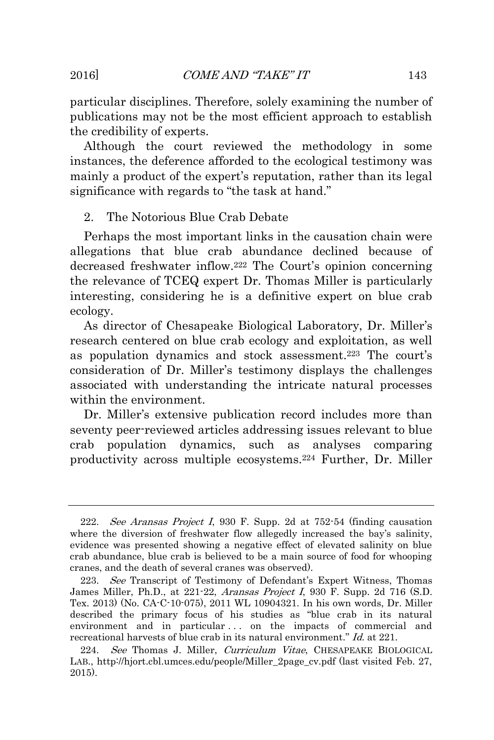particular disciplines. Therefore, solely examining the number of publications may not be the most efficient approach to establish the credibility of experts.

Although the court reviewed the methodology in some instances, the deference afforded to the ecological testimony was mainly a product of the expert's reputation, rather than its legal significance with regards to "the task at hand."

## <span id="page-45-0"></span>2. The Notorious Blue Crab Debate

Perhaps the most important links in the causation chain were allegations that blue crab abundance declined because of decreased freshwater inflow.<sup>222</sup> The Court's opinion concerning the relevance of TCEQ expert Dr. Thomas Miller is particularly interesting, considering he is a definitive expert on blue crab ecology.

As director of Chesapeake Biological Laboratory, Dr. Miller's research centered on blue crab ecology and exploitation, as well as population dynamics and stock assessment.<sup>223</sup> The court's consideration of Dr. Miller's testimony displays the challenges associated with understanding the intricate natural processes within the environment.

Dr. Miller's extensive publication record includes more than seventy peer-reviewed articles addressing issues relevant to blue crab population dynamics, such as analyses comparing productivity across multiple ecosystems.<sup>224</sup> Further, Dr. Miller

<sup>222.</sup> See Aransas Project I, 930 F. Supp. 2d at  $752-54$  (finding causation where the diversion of freshwater flow allegedly increased the bay's salinity, evidence was presented showing a negative effect of elevated salinity on blue crab abundance, blue crab is believed to be a main source of food for whooping cranes, and the death of several cranes was observed).

<sup>223.</sup> See Transcript of Testimony of Defendant's Expert Witness, Thomas James Miller, Ph.D., at 221-22, Aransas Project I, 930 F. Supp. 2d 716 (S.D. Tex. 2013) (No. CA-C-10-075), 2011 WL 10904321. In his own words, Dr. Miller described the primary focus of his studies as "blue crab in its natural environment and in particular ... on the impacts of commercial and recreational harvests of blue crab in its natural environment." Id. at 221.

<sup>224.</sup> See Thomas J. Miller, Curriculum Vitae, CHESAPEAKE BIOLOGICAL LAB., http://hjort.cbl.umces.edu/people/Miller\_2page\_cv.pdf (last visited Feb. 27, 2015).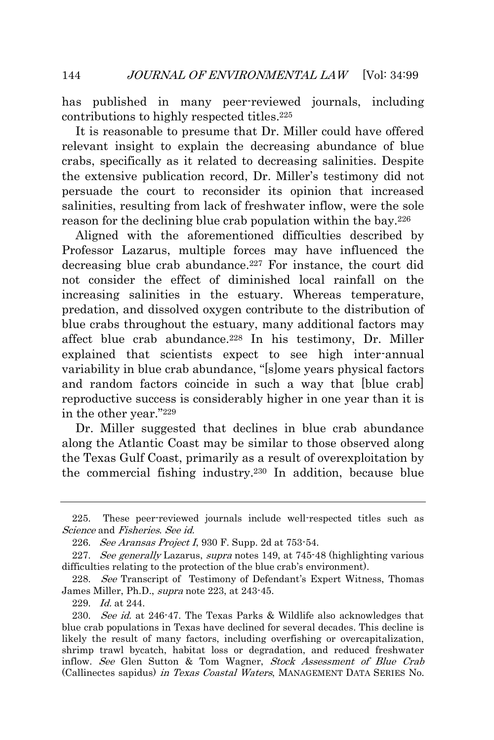has published in many peer-reviewed journals, including contributions to highly respected titles.<sup>225</sup>

It is reasonable to presume that Dr. Miller could have offered relevant insight to explain the decreasing abundance of blue crabs, specifically as it related to decreasing salinities. Despite the extensive publication record, Dr. Miller's testimony did not persuade the court to reconsider its opinion that increased salinities, resulting from lack of freshwater inflow, were the sole reason for the declining blue crab population within the bay.<sup>226</sup>

Aligned with the aforementioned difficulties described by Professor Lazarus, multiple forces may have influenced the decreasing blue crab abundance.<sup>227</sup> For instance, the court did not consider the effect of diminished local rainfall on the increasing salinities in the estuary. Whereas temperature, predation, and dissolved oxygen contribute to the distribution of blue crabs throughout the estuary, many additional factors may affect blue crab abundance.<sup>228</sup> In his testimony, Dr. Miller explained that scientists expect to see high inter-annual variability in blue crab abundance, "[s]ome years physical factors and random factors coincide in such a way that [blue crab] reproductive success is considerably higher in one year than it is in the other year." 229

Dr. Miller suggested that declines in blue crab abundance along the Atlantic Coast may be similar to those observed along the Texas Gulf Coast, primarily as a result of overexploitation by the commercial fishing industry.<sup>230</sup> In addition, because blue

<sup>225.</sup> These peer-reviewed journals include well-respected titles such as Science and Fisheries. See id.

<sup>226.</sup> See Aransas Project I, 930 F. Supp. 2d at  $753-54$ .

<sup>227.</sup> See generally Lazarus, supra notes 149, at 745-48 (highlighting various difficulties relating to the protection of the blue crab's environment).

<sup>228.</sup> See Transcript of Testimony of Defendant's Expert Witness, Thomas James Miller, Ph.D., supra note 223, at 243-45.

<sup>229.</sup> Id. at 244.

<sup>230.</sup> See id. at 246-47. The Texas Parks & Wildlife also acknowledges that blue crab populations in Texas have declined for several decades. This decline is likely the result of many factors, including overfishing or overcapitalization, shrimp trawl bycatch, habitat loss or degradation, and reduced freshwater inflow. See Glen Sutton & Tom Wagner, Stock Assessment of Blue Crab (Callinectes sapidus) in Texas Coastal Waters, MANAGEMENT DATA SERIES No.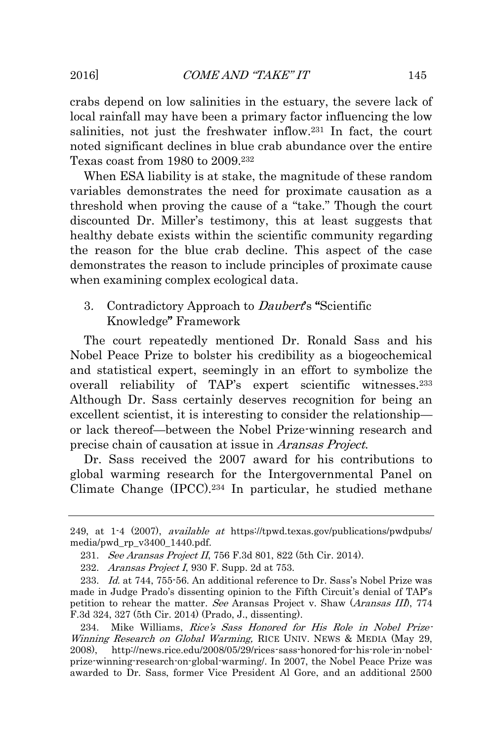crabs depend on low salinities in the estuary, the severe lack of local rainfall may have been a primary factor influencing the low salinities, not just the freshwater inflow.<sup>231</sup> In fact, the court noted significant declines in blue crab abundance over the entire Texas coast from 1980 to 2009.<sup>232</sup>

When ESA liability is at stake, the magnitude of these random variables demonstrates the need for proximate causation as a threshold when proving the cause of a "take." Though the court discounted Dr. Miller's testimony, this at least suggests that healthy debate exists within the scientific community regarding the reason for the blue crab decline. This aspect of the case demonstrates the reason to include principles of proximate cause when examining complex ecological data.

## <span id="page-47-0"></span>3. Contradictory Approach to *Daubert*'s "Scientific Knowledge" Framework

The court repeatedly mentioned Dr. Ronald Sass and his Nobel Peace Prize to bolster his credibility as a biogeochemical and statistical expert, seemingly in an effort to symbolize the overall reliability of TAP's expert scientific witnesses.<sup>233</sup> Although Dr. Sass certainly deserves recognition for being an excellent scientist, it is interesting to consider the relationship or lack thereof—between the Nobel Prize-winning research and precise chain of causation at issue in Aransas Project.

Dr. Sass received the 2007 award for his contributions to global warming research for the Intergovernmental Panel on Climate Change (IPCC).<sup>234</sup> In particular, he studied methane

<sup>249,</sup> at 1-4 (2007), *available at* https://tpwd.texas.gov/publications/pwdpubs/ media/pwd\_rp\_v3400\_1440.pdf.

<sup>231.</sup> See Aransas Project II, 756 F.3d 801, 822 (5th Cir. 2014).

<sup>232.</sup> Aransas Project I, 930 F. Supp. 2d at 753.

<sup>233.</sup> Id. at 744, 755-56. An additional reference to Dr. Sass's Nobel Prize was made in Judge Prado's dissenting opinion to the Fifth Circuit's denial of TAP's petition to rehear the matter. See Aransas Project v. Shaw (Aransas III), 774 F.3d 324, 327 (5th Cir. 2014) (Prado, J., dissenting).

<sup>234.</sup> Mike Williams, Rice's Sass Honored for His Role in Nobel Prize-Winning Research on Global Warming, RICE UNIV. NEWS & MEDIA (May 29, 2008), http://news.rice.edu/2008/05/29/rices-sass-honored-for-his-role-in-nobelprize-winning-research-on-global-warming/. In 2007, the Nobel Peace Prize was awarded to Dr. Sass, former Vice President Al Gore, and an additional 2500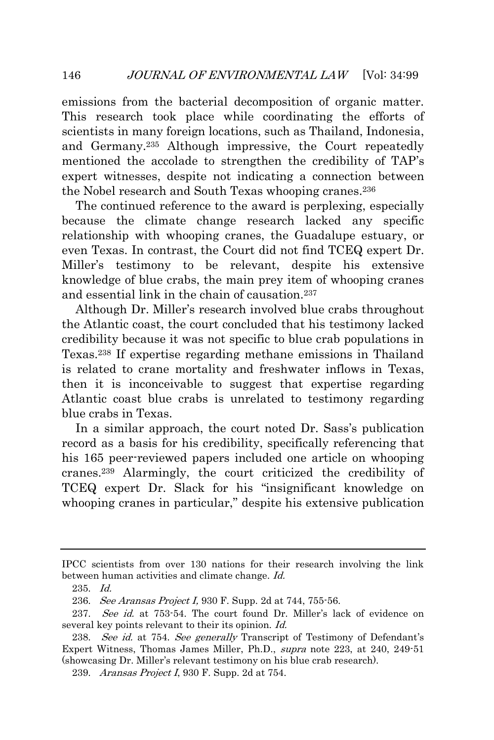emissions from the bacterial decomposition of organic matter. This research took place while coordinating the efforts of scientists in many foreign locations, such as Thailand, Indonesia, and Germany.<sup>235</sup> Although impressive, the Court repeatedly mentioned the accolade to strengthen the credibility of TAP's expert witnesses, despite not indicating a connection between the Nobel research and South Texas whooping cranes.<sup>236</sup>

The continued reference to the award is perplexing, especially because the climate change research lacked any specific relationship with whooping cranes, the Guadalupe estuary, or even Texas. In contrast, the Court did not find TCEQ expert Dr. Miller's testimony to be relevant, despite his extensive knowledge of blue crabs, the main prey item of whooping cranes and essential link in the chain of causation.<sup>237</sup>

Although Dr. Miller's research involved blue crabs throughout the Atlantic coast, the court concluded that his testimony lacked credibility because it was not specific to blue crab populations in Texas.<sup>238</sup> If expertise regarding methane emissions in Thailand is related to crane mortality and freshwater inflows in Texas, then it is inconceivable to suggest that expertise regarding Atlantic coast blue crabs is unrelated to testimony regarding blue crabs in Texas.

In a similar approach, the court noted Dr. Sass's publication record as a basis for his credibility, specifically referencing that his 165 peer-reviewed papers included one article on whooping cranes.<sup>239</sup> Alarmingly, the court criticized the credibility of TCEQ expert Dr. Slack for his "insignificant knowledge on whooping cranes in particular," despite his extensive publication

IPCC scientists from over 130 nations for their research involving the link between human activities and climate change. Id.

<sup>235.</sup> Id.

<sup>236.</sup> See Aransas Project I, 930 F. Supp. 2d at 744, 755-56.

<sup>237.</sup> See id. at 753-54. The court found Dr. Miller's lack of evidence on several key points relevant to their its opinion. *Id.* 

<sup>238.</sup> See id. at 754. See generally Transcript of Testimony of Defendant's Expert Witness, Thomas James Miller, Ph.D., supra note 223, at 240, 249-51 (showcasing Dr. Miller's relevant testimony on his blue crab research).

<sup>239.</sup> Aransas Project I, 930 F. Supp. 2d at 754.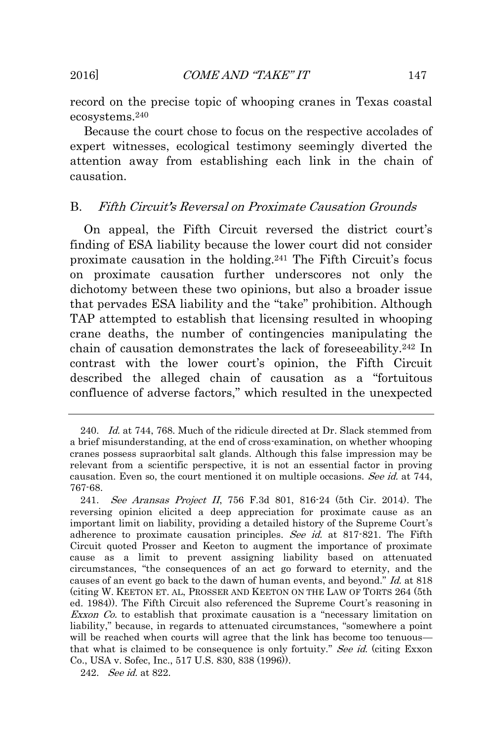record on the precise topic of whooping cranes in Texas coastal ecosystems.<sup>240</sup>

Because the court chose to focus on the respective accolades of expert witnesses, ecological testimony seemingly diverted the attention away from establishing each link in the chain of causation.

## <span id="page-49-0"></span>B. Fifth Circuit's Reversal on Proximate Causation Grounds

On appeal, the Fifth Circuit reversed the district court's finding of ESA liability because the lower court did not consider proximate causation in the holding.<sup>241</sup> The Fifth Circuit's focus on proximate causation further underscores not only the dichotomy between these two opinions, but also a broader issue that pervades ESA liability and the "take" prohibition. Although TAP attempted to establish that licensing resulted in whooping crane deaths, the number of contingencies manipulating the chain of causation demonstrates the lack of foreseeability.<sup>242</sup> In contrast with the lower court's opinion, the Fifth Circuit described the alleged chain of causation as a "fortuitous confluence of adverse factors," which resulted in the unexpected

<sup>240.</sup> Id. at 744, 768. Much of the ridicule directed at Dr. Slack stemmed from a brief misunderstanding, at the end of cross-examination, on whether whooping cranes possess supraorbital salt glands. Although this false impression may be relevant from a scientific perspective, it is not an essential factor in proving causation. Even so, the court mentioned it on multiple occasions. See id. at 744, 767-68.

<sup>241.</sup> See Aransas Project II, 756 F.3d 801, 816-24 (5th Cir. 2014). The reversing opinion elicited a deep appreciation for proximate cause as an important limit on liability, providing a detailed history of the Supreme Court's adherence to proximate causation principles. See id. at 817-821. The Fifth Circuit quoted Prosser and Keeton to augment the importance of proximate cause as a limit to prevent assigning liability based on attenuated circumstances, "the consequences of an act go forward to eternity, and the causes of an event go back to the dawn of human events, and beyond." Id. at 818 (citing W. KEETON ET. AL, PROSSER AND KEETON ON THE LAW OF TORTS 264 (5th ed. 1984)). The Fifth Circuit also referenced the Supreme Court's reasoning in Exxon  $Co$  to establish that proximate causation is a "necessary limitation on liability," because, in regards to attenuated circumstances, "somewhere a point will be reached when courts will agree that the link has become too tenuous that what is claimed to be consequence is only fortuity." See id. (citing Exxon Co., USA v. Sofec, Inc., 517 U.S. 830, 838 (1996)).

<sup>242.</sup> See id. at 822.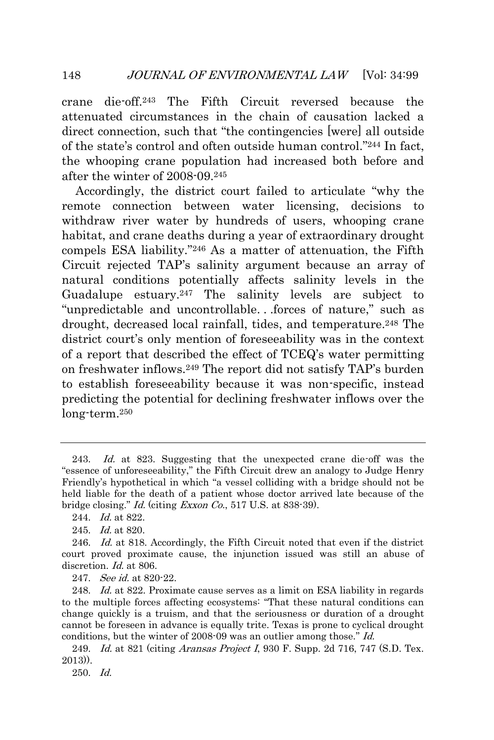crane die-off.<sup>243</sup> The Fifth Circuit reversed because the attenuated circumstances in the chain of causation lacked a direct connection, such that "the contingencies [were] all outside of the state's control and often outside human control." <sup>244</sup> In fact, the whooping crane population had increased both before and after the winter of 2008-09.<sup>245</sup>

Accordingly, the district court failed to articulate "why the remote connection between water licensing, decisions to withdraw river water by hundreds of users, whooping crane habitat, and crane deaths during a year of extraordinary drought compels ESA liability." <sup>246</sup> As a matter of attenuation, the Fifth Circuit rejected TAP's salinity argument because an array of natural conditions potentially affects salinity levels in the Guadalupe estuary.<sup>247</sup> The salinity levels are subject to "unpredictable and uncontrollable. . .forces of nature," such as drought, decreased local rainfall, tides, and temperature.<sup>248</sup> The district court's only mention of foreseeability was in the context of a report that described the effect of TCEQ's water permitting on freshwater inflows.<sup>249</sup> The report did not satisfy TAP's burden to establish foreseeability because it was non-specific, instead predicting the potential for declining freshwater inflows over the long-term.<sup>250</sup>

247. *See id.* at 820-22.

250. Id.

<sup>243.</sup> Id. at 823. Suggesting that the unexpected crane die-off was the "essence of unforeseeability," the Fifth Circuit drew an analogy to Judge Henry Friendly's hypothetical in which "a vessel colliding with a bridge should not be held liable for the death of a patient whose doctor arrived late because of the bridge closing." Id. (citing Exxon Co., 517 U.S. at 838-39).

<sup>244.</sup> Id. at 822.

<sup>245.</sup> Id. at 820.

<sup>246.</sup> Id. at 818. Accordingly, the Fifth Circuit noted that even if the district court proved proximate cause, the injunction issued was still an abuse of discretion. Id. at 806.

<sup>248.</sup> Id. at 822. Proximate cause serves as a limit on ESA liability in regards to the multiple forces affecting ecosystems: "That these natural conditions can change quickly is a truism, and that the seriousness or duration of a drought cannot be foreseen in advance is equally trite. Texas is prone to cyclical drought conditions, but the winter of 2008-09 was an outlier among those." Id.

<sup>249.</sup> Id. at 821 (citing *Aransas Project I*, 930 F. Supp. 2d 716, 747 (S.D. Tex.) 2013)).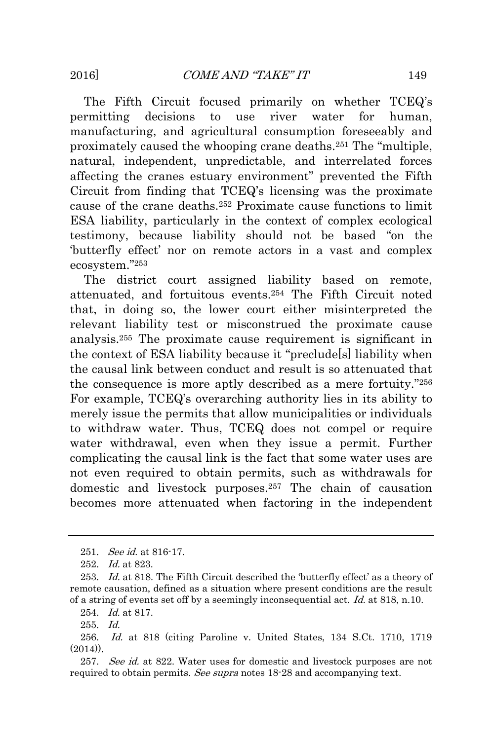The Fifth Circuit focused primarily on whether TCEQ's permitting decisions to use river water for human, manufacturing, and agricultural consumption foreseeably and proximately caused the whooping crane deaths.<sup>251</sup> The "multiple, natural, independent, unpredictable, and interrelated forces affecting the cranes estuary environment" prevented the Fifth Circuit from finding that TCEQ's licensing was the proximate cause of the crane deaths.<sup>252</sup> Proximate cause functions to limit ESA liability, particularly in the context of complex ecological testimony, because liability should not be based "on the 'butterfly effect' nor on remote actors in a vast and complex ecosystem." 253

The district court assigned liability based on remote, attenuated, and fortuitous events.<sup>254</sup> The Fifth Circuit noted that, in doing so, the lower court either misinterpreted the relevant liability test or misconstrued the proximate cause analysis.<sup>255</sup> The proximate cause requirement is significant in the context of ESA liability because it "preclude[s] liability when the causal link between conduct and result is so attenuated that the consequence is more aptly described as a mere fortuity." 256 For example, TCEQ's overarching authority lies in its ability to merely issue the permits that allow municipalities or individuals to withdraw water. Thus, TCEQ does not compel or require water withdrawal, even when they issue a permit. Further complicating the causal link is the fact that some water uses are not even required to obtain permits, such as withdrawals for domestic and livestock purposes.<sup>257</sup> The chain of causation becomes more attenuated when factoring in the independent

<sup>251.</sup> *See id.* at 816-17.

<sup>252.</sup> Id. at 823.

<sup>253.</sup> Id. at 818. The Fifth Circuit described the 'butterfly effect' as a theory of remote causation, defined as a situation where present conditions are the result of a string of events set off by a seemingly inconsequential act. Id. at 818, n.10.

<sup>254.</sup> *Id.* at 817.

<sup>255.</sup> Id.

<sup>256.</sup> Id. at 818 (citing Paroline v. United States, 134 S.Ct. 1710, 1719  $(2014)$ .

<sup>257.</sup> See id. at 822. Water uses for domestic and livestock purposes are not required to obtain permits. See supra notes 18-28 and accompanying text.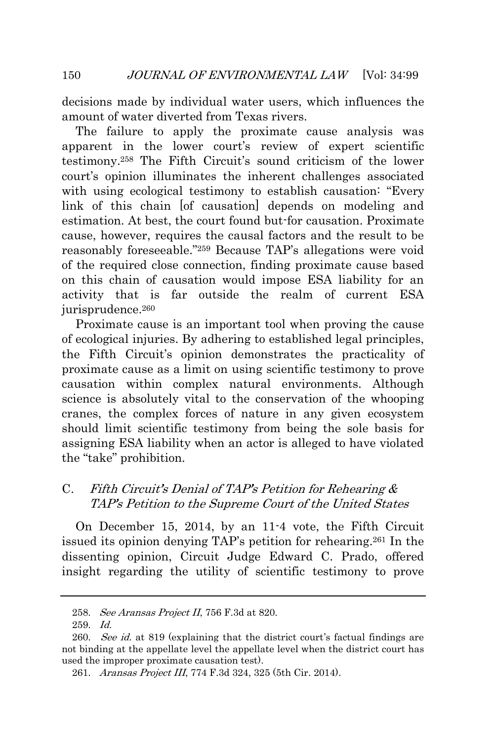decisions made by individual water users, which influences the amount of water diverted from Texas rivers.

The failure to apply the proximate cause analysis was apparent in the lower court's review of expert scientific testimony.<sup>258</sup> The Fifth Circuit's sound criticism of the lower court's opinion illuminates the inherent challenges associated with using ecological testimony to establish causation: "Every link of this chain [of causation] depends on modeling and estimation. At best, the court found but-for causation. Proximate cause, however, requires the causal factors and the result to be reasonably foreseeable." <sup>259</sup> Because TAP's allegations were void of the required close connection, finding proximate cause based on this chain of causation would impose ESA liability for an activity that is far outside the realm of current ESA jurisprudence.<sup>260</sup>

Proximate cause is an important tool when proving the cause of ecological injuries. By adhering to established legal principles, the Fifth Circuit's opinion demonstrates the practicality of proximate cause as a limit on using scientific testimony to prove causation within complex natural environments. Although science is absolutely vital to the conservation of the whooping cranes, the complex forces of nature in any given ecosystem should limit scientific testimony from being the sole basis for assigning ESA liability when an actor is alleged to have violated the "take" prohibition.

## <span id="page-52-0"></span>C. Fifth Circuit's Denial of TAP's Petition for Rehearing & TAP's Petition to the Supreme Court of the United States

On December 15, 2014, by an 11-4 vote, the Fifth Circuit issued its opinion denying TAP's petition for rehearing.<sup>261</sup> In the dissenting opinion, Circuit Judge Edward C. Prado, offered insight regarding the utility of scientific testimony to prove

<sup>258.</sup> See Aransas Project II, 756 F.3d at 820.

<sup>259.</sup> Id.

<sup>260.</sup> See id. at 819 (explaining that the district court's factual findings are not binding at the appellate level the appellate level when the district court has used the improper proximate causation test).

<sup>261.</sup> Aransas Project III, 774 F.3d 324, 325 (5th Cir. 2014).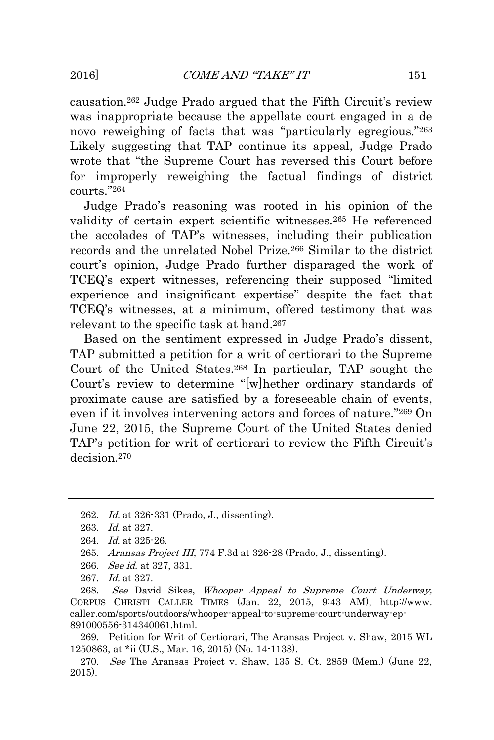causation.<sup>262</sup> Judge Prado argued that the Fifth Circuit's review was inappropriate because the appellate court engaged in a de novo reweighing of facts that was "particularly egregious."263 Likely suggesting that TAP continue its appeal, Judge Prado wrote that "the Supreme Court has reversed this Court before for improperly reweighing the factual findings of district courts." 264

Judge Prado's reasoning was rooted in his opinion of the validity of certain expert scientific witnesses.<sup>265</sup> He referenced the accolades of TAP's witnesses, including their publication records and the unrelated Nobel Prize.<sup>266</sup> Similar to the district court's opinion, Judge Prado further disparaged the work of TCEQ's expert witnesses, referencing their supposed "limited experience and insignificant expertise" despite the fact that TCEQ's witnesses, at a minimum, offered testimony that was relevant to the specific task at hand.<sup>267</sup>

Based on the sentiment expressed in Judge Prado's dissent, TAP submitted a petition for a writ of certiorari to the Supreme Court of the United States.<sup>268</sup> In particular, TAP sought the Court's review to determine "[w]hether ordinary standards of proximate cause are satisfied by a foreseeable chain of events, even if it involves intervening actors and forces of nature." <sup>269</sup> On June 22, 2015, the Supreme Court of the United States denied TAP's petition for writ of certiorari to review the Fifth Circuit's decision.<sup>270</sup>

- 266. See id. at 327, 331.
- 267. Id. at 327.

268. See David Sikes, Whooper Appeal to Supreme Court Underway, CORPUS CHRISTI CALLER TIMES (Jan. 22, 2015, 9:43 AM), http://www. caller.com/sports/outdoors/whooper-appeal-to-supreme-court-underway-ep-891000556-314340061.html.

269. Petition for Writ of Certiorari, The Aransas Project v. Shaw, 2015 WL 1250863, at \*ii (U.S., Mar. 16, 2015) (No. 14-1138).

270. See The Aransas Project v. Shaw, 135 S. Ct. 2859 (Mem.) (June 22, 2015).

<sup>262.</sup> Id. at 326-331 (Prado, J., dissenting).

<sup>263.</sup> *Id.* at 327.

<sup>264.</sup> Id. at 325-26.

<sup>265.</sup> Aransas Project III, 774 F.3d at 326-28 (Prado, J., dissenting).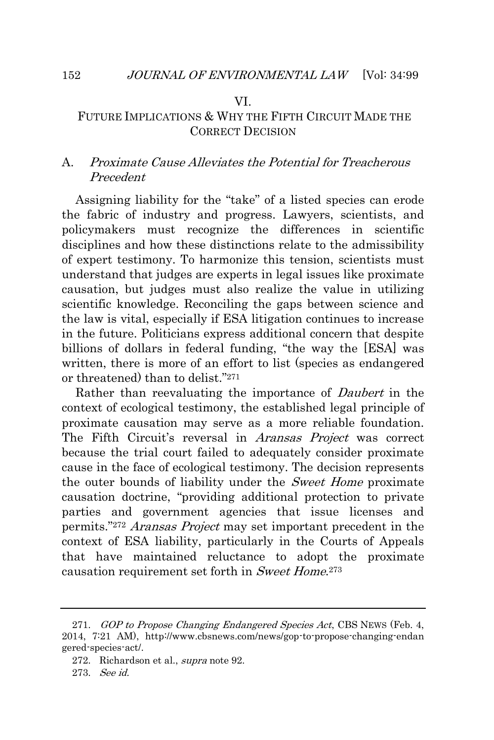#### VI.

### FUTURE IMPLICATIONS & WHY THE FIFTH CIRCUIT MADE THE CORRECT DECISION

# <span id="page-54-1"></span>A. Proximate Cause Alleviates the Potential for Treacherous Precedent

Assigning liability for the "take" of a listed species can erode the fabric of industry and progress. Lawyers, scientists, and policymakers must recognize the differences in scientific disciplines and how these distinctions relate to the admissibility of expert testimony. To harmonize this tension, scientists must understand that judges are experts in legal issues like proximate causation, but judges must also realize the value in utilizing scientific knowledge. Reconciling the gaps between science and the law is vital, especially if ESA litigation continues to increase in the future. Politicians express additional concern that despite billions of dollars in federal funding, "the way the [ESA] was written, there is more of an effort to list (species as endangered or threatened) than to delist." 271

Rather than reevaluating the importance of *Daubert* in the context of ecological testimony, the established legal principle of proximate causation may serve as a more reliable foundation. The Fifth Circuit's reversal in *Aransas Project* was correct because the trial court failed to adequately consider proximate cause in the face of ecological testimony. The decision represents the outer bounds of liability under the *Sweet Home* proximate causation doctrine, "providing additional protection to private parties and government agencies that issue licenses and permits."<sup>272</sup> Aransas Project may set important precedent in the context of ESA liability, particularly in the Courts of Appeals that have maintained reluctance to adopt the proximate causation requirement set forth in Sweet Home.<sup>273</sup>

<span id="page-54-0"></span>

<sup>271.</sup> GOP to Propose Changing Endangered Species Act, CBS NEWS (Feb. 4, 2014, 7:21 AM), http://www.cbsnews.com/news/gop-to-propose-changing-endan gered-species-act/.

<sup>272.</sup> Richardson et al., supra note 92.

<sup>273.</sup> See id.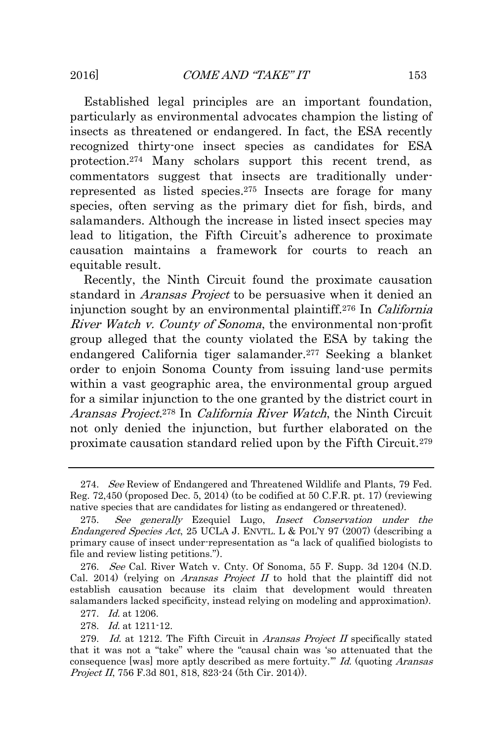Established legal principles are an important foundation, particularly as environmental advocates champion the listing of insects as threatened or endangered. In fact, the ESA recently recognized thirty-one insect species as candidates for ESA protection.<sup>274</sup> Many scholars support this recent trend, as commentators suggest that insects are traditionally underrepresented as listed species.<sup>275</sup> Insects are forage for many species, often serving as the primary diet for fish, birds, and salamanders. Although the increase in listed insect species may lead to litigation, the Fifth Circuit's adherence to proximate causation maintains a framework for courts to reach an equitable result.

Recently, the Ninth Circuit found the proximate causation standard in *Aransas Project* to be persuasive when it denied an injunction sought by an environmental plaintiff.<sup>276</sup> In *California* River Watch v. County of Sonoma, the environmental non-profit group alleged that the county violated the ESA by taking the endangered California tiger salamander.<sup>277</sup> Seeking a blanket order to enjoin Sonoma County from issuing land-use permits within a vast geographic area, the environmental group argued for a similar injunction to the one granted by the district court in Aransas Project.<sup>278</sup> In California River Watch, the Ninth Circuit not only denied the injunction, but further elaborated on the proximate causation standard relied upon by the Fifth Circuit.<sup>279</sup>

<sup>274.</sup> See Review of Endangered and Threatened Wildlife and Plants, 79 Fed. Reg. 72,450 (proposed Dec. 5, 2014) (to be codified at 50 C.F.R. pt. 17) (reviewing native species that are candidates for listing as endangered or threatened).

<sup>275.</sup> See generally Ezequiel Lugo, Insect Conservation under the Endangered Species Act, 25 UCLA J. ENVTL. L & POL'Y 97 (2007) (describing a primary cause of insect under-representation as "a lack of qualified biologists to file and review listing petitions.").

<sup>276.</sup> See Cal. River Watch v. Cnty. Of Sonoma, 55 F. Supp. 3d 1204 (N.D. Cal. 2014) (relying on *Aransas Project II* to hold that the plaintiff did not establish causation because its claim that development would threaten salamanders lacked specificity, instead relying on modeling and approximation).

<sup>277.</sup> Id. at 1206.

<sup>278.</sup> Id. at 1211-12.

<sup>279.</sup> Id. at 1212. The Fifth Circuit in Aransas Project II specifically stated that it was not a "take" where the "causal chain was 'so attenuated that the consequence [was] more aptly described as mere fortuity." Id. (quoting Aransas Project II, 756 F.3d 801, 818, 823-24 (5th Cir. 2014)).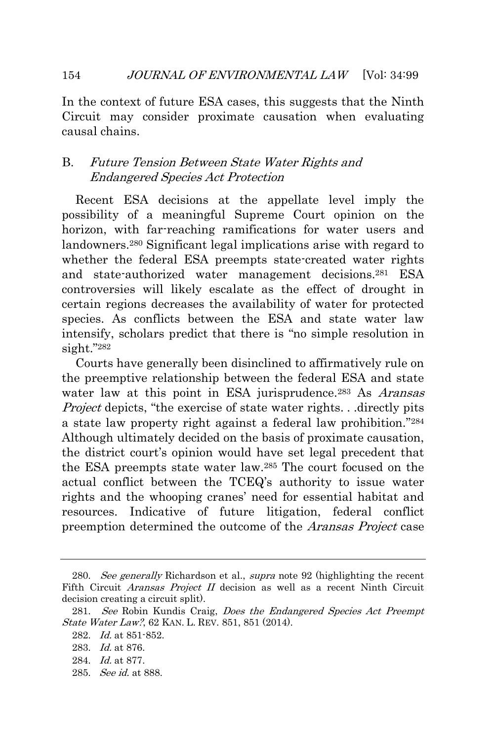In the context of future ESA cases, this suggests that the Ninth Circuit may consider proximate causation when evaluating causal chains.

# <span id="page-56-0"></span>B. Future Tension Between State Water Rights and Endangered Species Act Protection

Recent ESA decisions at the appellate level imply the possibility of a meaningful Supreme Court opinion on the horizon, with far-reaching ramifications for water users and landowners.<sup>280</sup> Significant legal implications arise with regard to whether the federal ESA preempts state-created water rights and state-authorized water management decisions.<sup>281</sup> ESA controversies will likely escalate as the effect of drought in certain regions decreases the availability of water for protected species. As conflicts between the ESA and state water law intensify, scholars predict that there is "no simple resolution in sight." 282

Courts have generally been disinclined to affirmatively rule on the preemptive relationship between the federal ESA and state water law at this point in ESA jurisprudence.<sup>283</sup> As *Aransas* Project depicts, "the exercise of state water rights. . .directly pits a state law property right against a federal law prohibition." 284 Although ultimately decided on the basis of proximate causation, the district court's opinion would have set legal precedent that the ESA preempts state water law.<sup>285</sup> The court focused on the actual conflict between the TCEQ's authority to issue water rights and the whooping cranes' need for essential habitat and resources. Indicative of future litigation, federal conflict preemption determined the outcome of the *Aransas Project* case

285. See id. at 888.

<sup>280.</sup> See generally Richardson et al., supra note 92 (highlighting the recent Fifth Circuit *Aransas Project II* decision as well as a recent Ninth Circuit decision creating a circuit split).

<sup>281.</sup> See Robin Kundis Craig, *Does the Endangered Species Act Preempt* State Water Law?, 62 KAN. L. REV. 851, 851 (2014).

<sup>282.</sup> Id. at 851-852.

<sup>283.</sup> Id. at 876.

<sup>284.</sup> Id. at 877.